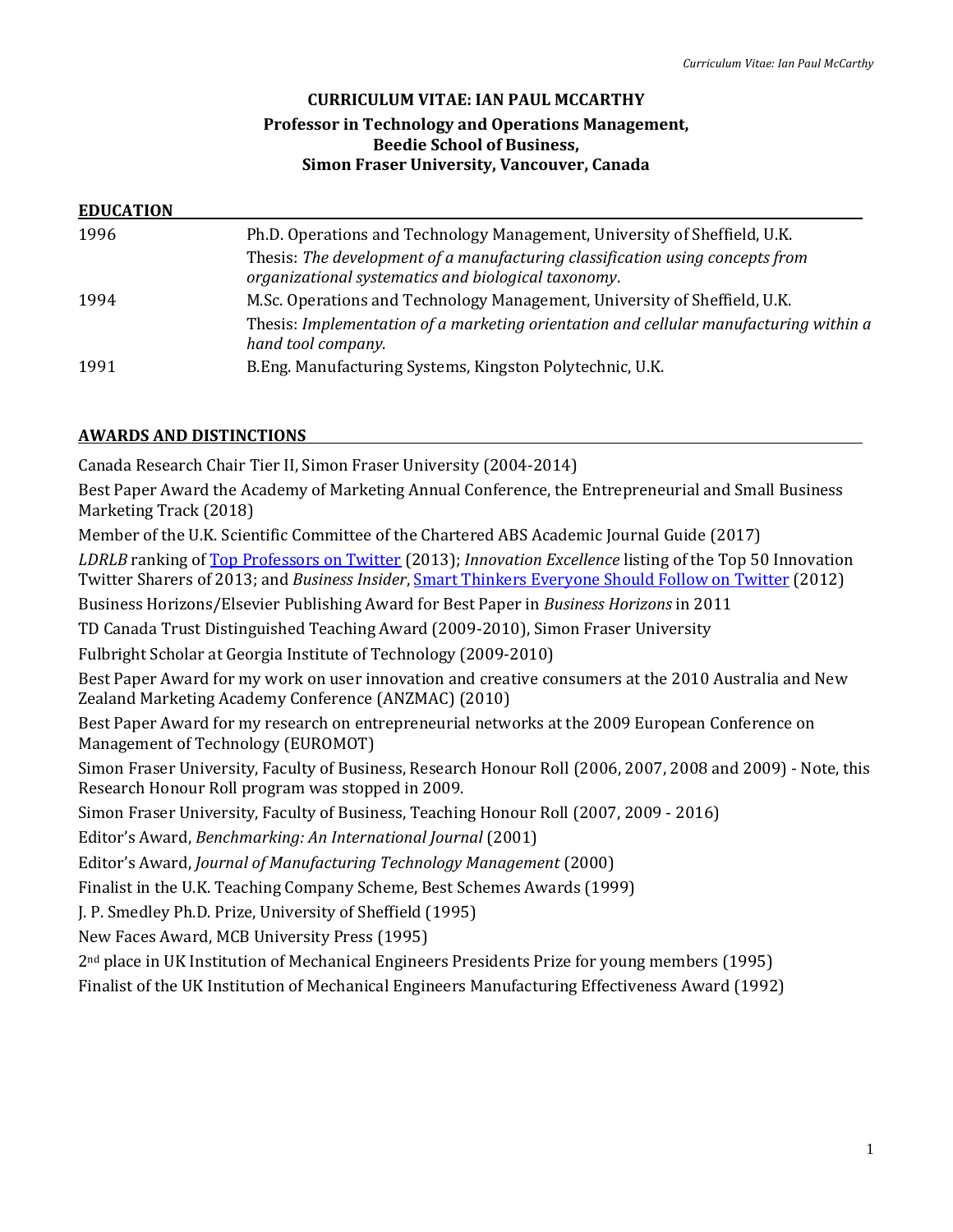#### **CURRICULUM VITAE: IAN PAUL MCCARTHY**

### **Professor in Technology and Operations Management, Beedie School of Business, Simon Fraser University, Vancouver, Canada**

### **EDUCATION**

| 1996 | Ph.D. Operations and Technology Management, University of Sheffield, U.K.<br>Thesis: The development of a manufacturing classification using concepts from<br>organizational systematics and biological taxonomy. |
|------|-------------------------------------------------------------------------------------------------------------------------------------------------------------------------------------------------------------------|
| 1994 | M.Sc. Operations and Technology Management, University of Sheffield, U.K.<br>Thesis: Implementation of a marketing orientation and cellular manufacturing within a                                                |
| 1991 | hand tool company.<br>B. Eng. Manufacturing Systems, Kingston Polytechnic, U.K.                                                                                                                                   |

### **AWARDS AND DISTINCTIONS**

Canada Research Chair Tier II, Simon Fraser University (2004-2014)

Best Paper Award the Academy of Marketing Annual Conference, the Entrepreneurial and Small Business Marketing Track (2018)

Member of the U.K. Scientific Committee of the Chartered ABS Academic Journal Guide (2017)

*LDRLB* ranking of [Top Professors on Twitter](http://ldrlb.co/top-professors-on-twitter/) (2013); *Innovation Excellence* listing of the Top 50 Innovation Twitter Sharers of 2013; and *Business Insider*, [Smart Thinkers Everyone Should Follow on Twitter](http://www.businessinsider.com/smart-people-to-follow-on-twitter-2012-6) (2012)

Business Horizons/Elsevier Publishing Award for Best Paper in *Business Horizons* in 2011

TD Canada Trust Distinguished Teaching Award (2009-2010), Simon Fraser University

Fulbright Scholar at Georgia Institute of Technology (2009-2010)

Best Paper Award for my work on user innovation and creative consumers at the 2010 Australia and New Zealand Marketing Academy Conference (ANZMAC) (2010)

Best Paper Award for my research on entrepreneurial networks at the 2009 European Conference on Management of Technology (EUROMOT)

Simon Fraser University, Faculty of Business, Research Honour Roll (2006, 2007, 2008 and 2009) - Note, this Research Honour Roll program was stopped in 2009.

Simon Fraser University, Faculty of Business, Teaching Honour Roll (2007, 2009 - 2016)

Editor's Award, *Benchmarking: An International Journal* (2001)

Editor's Award, *Journal of Manufacturing Technology Management* (2000)

Finalist in the U.K. Teaching Company Scheme, Best Schemes Awards (1999)

J. P. Smedley Ph.D. Prize, University of Sheffield (1995)

New Faces Award, MCB University Press (1995)

2nd place in UK Institution of Mechanical Engineers Presidents Prize for young members (1995)

Finalist of the UK Institution of Mechanical Engineers Manufacturing Effectiveness Award (1992)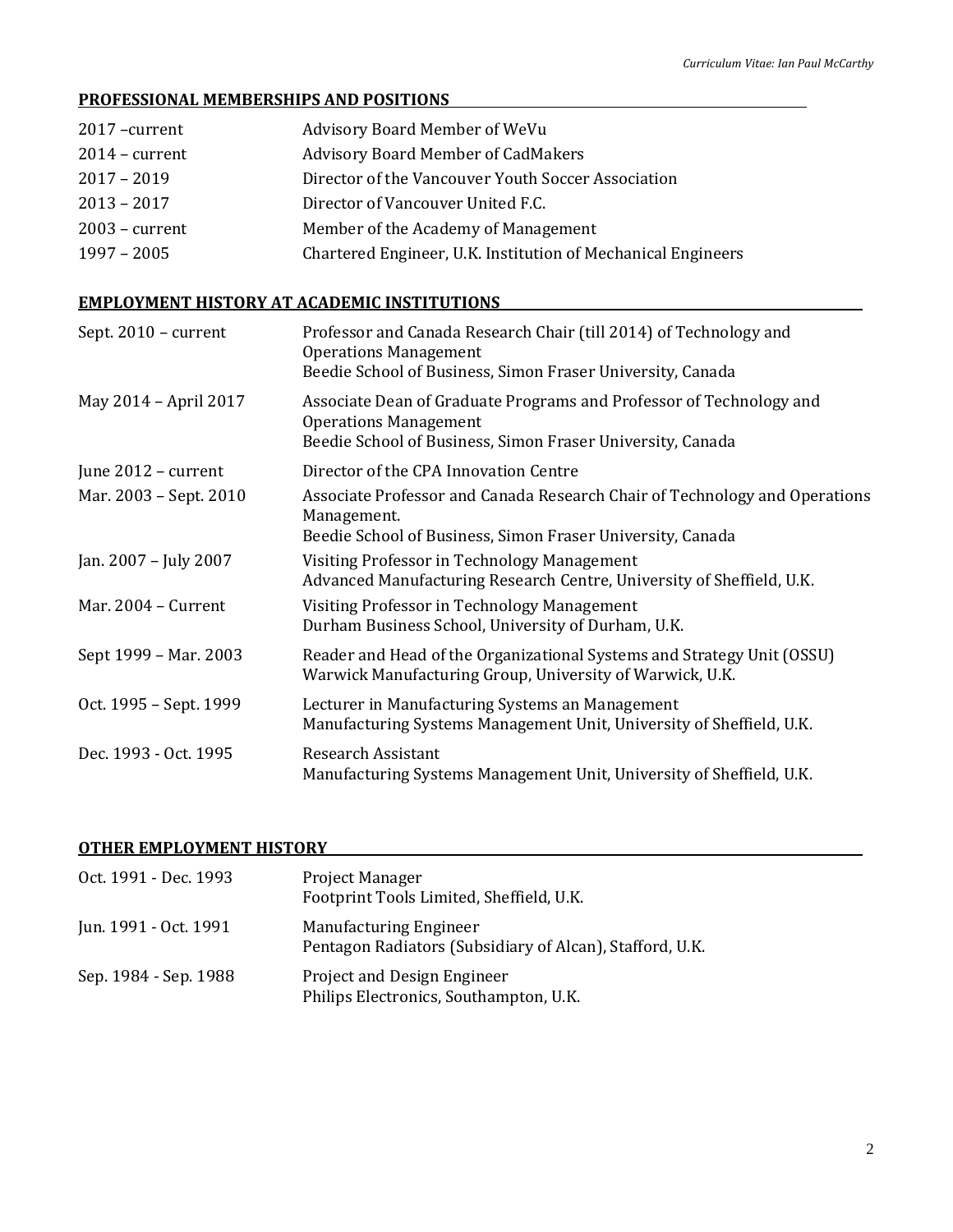### **PROFESSIONAL MEMBERSHIPS AND POSITIONS**

| 2017 - current   | Advisory Board Member of WeVu                                |
|------------------|--------------------------------------------------------------|
| $2014$ – current | <b>Advisory Board Member of CadMakers</b>                    |
| $2017 - 2019$    | Director of the Vancouver Youth Soccer Association           |
| $2013 - 2017$    | Director of Vancouver United F.C.                            |
| $2003$ – current | Member of the Academy of Management                          |
| $1997 - 2005$    | Chartered Engineer, U.K. Institution of Mechanical Engineers |

# **EMPLOYMENT HISTORY AT ACADEMIC INSTITUTIONS**

| Sept. 2010 - current   | Professor and Canada Research Chair (till 2014) of Technology and<br><b>Operations Management</b><br>Beedie School of Business, Simon Fraser University, Canada   |
|------------------------|-------------------------------------------------------------------------------------------------------------------------------------------------------------------|
| May 2014 - April 2017  | Associate Dean of Graduate Programs and Professor of Technology and<br><b>Operations Management</b><br>Beedie School of Business, Simon Fraser University, Canada |
| June 2012 - current    | Director of the CPA Innovation Centre                                                                                                                             |
| Mar. 2003 - Sept. 2010 | Associate Professor and Canada Research Chair of Technology and Operations<br>Management.<br>Beedie School of Business, Simon Fraser University, Canada           |
| Jan. 2007 - July 2007  | Visiting Professor in Technology Management<br>Advanced Manufacturing Research Centre, University of Sheffield, U.K.                                              |
| Mar. 2004 - Current    | Visiting Professor in Technology Management<br>Durham Business School, University of Durham, U.K.                                                                 |
| Sept 1999 - Mar. 2003  | Reader and Head of the Organizational Systems and Strategy Unit (OSSU)<br>Warwick Manufacturing Group, University of Warwick, U.K.                                |
| Oct. 1995 - Sept. 1999 | Lecturer in Manufacturing Systems an Management<br>Manufacturing Systems Management Unit, University of Sheffield, U.K.                                           |
| Dec. 1993 - Oct. 1995  | <b>Research Assistant</b><br>Manufacturing Systems Management Unit, University of Sheffield, U.K.                                                                 |

#### **OTHER EMPLOYMENT HISTORY**

| Oct. 1991 - Dec. 1993 | <b>Project Manager</b><br>Footprint Tools Limited, Sheffield, U.K.                        |
|-----------------------|-------------------------------------------------------------------------------------------|
| Jun. 1991 - Oct. 1991 | <b>Manufacturing Engineer</b><br>Pentagon Radiators (Subsidiary of Alcan), Stafford, U.K. |
| Sep. 1984 - Sep. 1988 | Project and Design Engineer<br>Philips Electronics, Southampton, U.K.                     |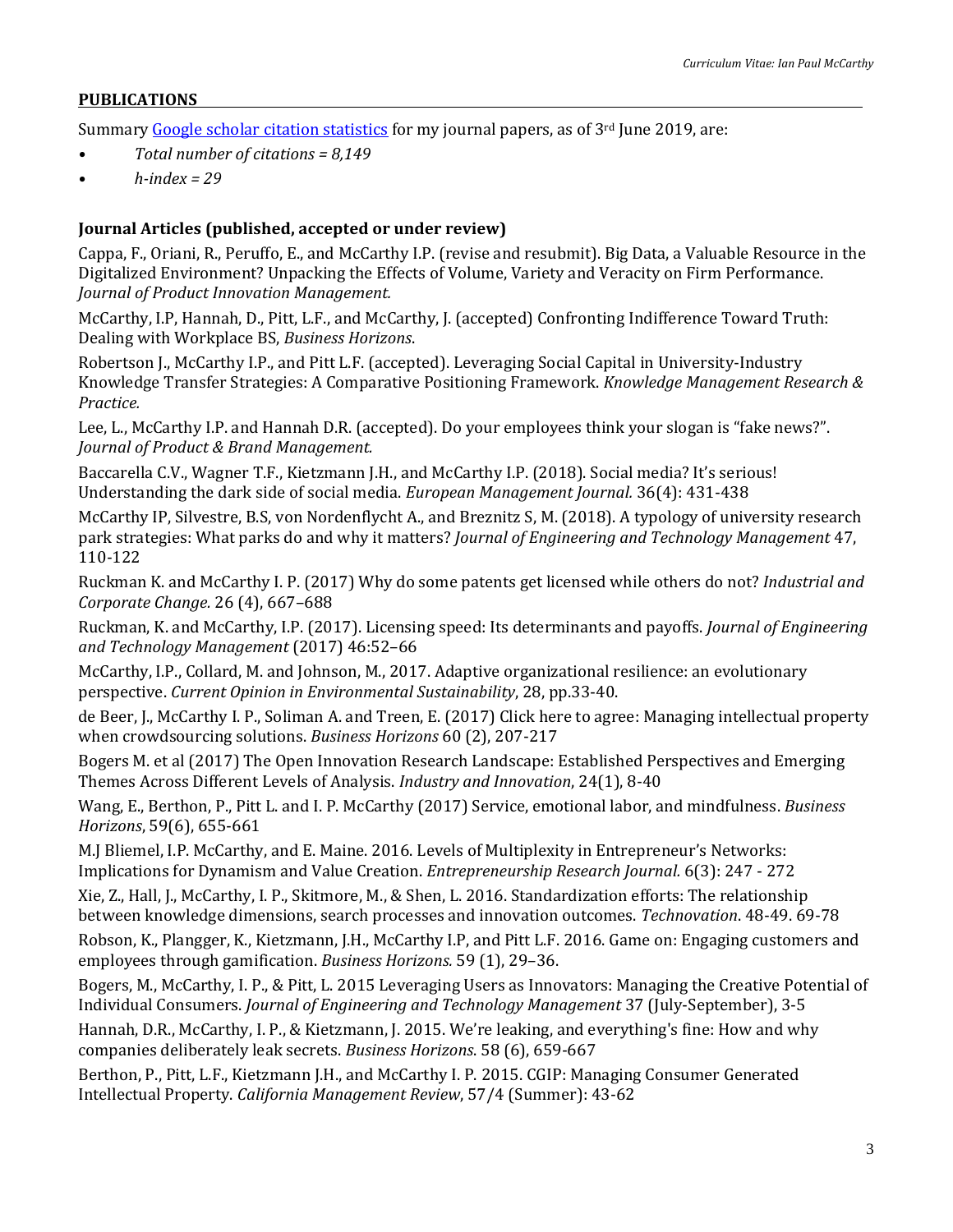#### **PUBLICATIONS**

Summary [Google scholar citation statistics](https://scholar.google.ca/citations?user=Jucbo6oAAAAJ&hl=en) for my journal papers, as of 3<sup>rd</sup> June 2019, are:

- *• Total number of citations = 8,149*
- *• h-index = 29*

#### **Journal Articles (published, accepted or under review)**

Cappa, F., Oriani, R., Peruffo, E., and McCarthy I.P. (revise and resubmit). Big Data, a Valuable Resource in the Digitalized Environment? Unpacking the Effects of Volume, Variety and Veracity on Firm Performance. *Journal of Product Innovation Management.*

McCarthy, I.P, Hannah, D., Pitt, L.F., and McCarthy, J. (accepted) Confronting Indifference Toward Truth: Dealing with Workplace BS, *Business Horizons*.

Robertson J., McCarthy I.P., and Pitt L.F. (accepted). Leveraging Social Capital in University-Industry Knowledge Transfer Strategies: A Comparative Positioning Framework. *Knowledge Management Research & Practice.*

Lee, L., McCarthy I.P. and Hannah D.R. (accepted). Do your employees think your slogan is "fake news?". *Journal of Product & Brand Management.*

Baccarella C.V., Wagner T.F., Kietzmann J.H., and McCarthy I.P. (2018). Social media? It's serious! Understanding the dark side of social media. *European Management Journal.* 36(4): 431-438

McCarthy IP, Silvestre, B.S, von Nordenflycht A., and Breznitz S, M. (2018). A typology of university research park strategies: What parks do and why it matters? *Journal of Engineering and Technology Management* 47, 110-122

Ruckman K. and McCarthy I. P. (2017) Why do some patents get licensed while others do not? *Industrial and Corporate Change.* 26 (4), 667–688

Ruckman, K. and McCarthy, I.P. (2017). Licensing speed: Its determinants and payoffs. *Journal of Engineering and Technology Management* (2017) 46:52–66

McCarthy, I.P., Collard, M. and Johnson, M., 2017. Adaptive organizational resilience: an evolutionary perspective. *Current Opinion in Environmental Sustainability*, 28, pp.33-40.

de Beer, J., McCarthy I. P., Soliman A. and Treen, E. (2017) Click here to agree: Managing intellectual property when crowdsourcing solutions. *Business Horizons* 60 (2), 207-217

Bogers M. et al (2017) The Open Innovation Research Landscape: Established Perspectives and Emerging Themes Across Different Levels of Analysis. *Industry and Innovation*, 24(1), 8-40

Wang, E., Berthon, P., Pitt L. and I. P. McCarthy (2017) Service, emotional labor, and mindfulness. *Business Horizons*, 59(6), 655-661

M.J Bliemel, I.P. McCarthy, and E. Maine. 2016. Levels of Multiplexity in Entrepreneur's Networks: Implications for Dynamism and Value Creation. *Entrepreneurship Research Journal.* 6(3): 247 - 272

Xie, Z., Hall, J., McCarthy, I. P., Skitmore, M., & Shen, L. 2016. Standardization efforts: The relationship between knowledge dimensions, search processes and innovation outcomes. *Technovation*. 48-49. 69-78

Robson, K., Plangger, K., Kietzmann, J.H., McCarthy I.P, and Pitt L.F. 2016. Game on: Engaging customers and employees through gamification. *Business Horizons.* 59 (1), 29–36.

Bogers, M., McCarthy, I. P., & Pitt, L. 2015 Leveraging Users as Innovators: Managing the Creative Potential of Individual Consumers. *Journal of Engineering and Technology Management* 37 (July-September), 3-5

Hannah, D.R., McCarthy, I. P., & Kietzmann, J. 2015. We're leaking, and everything's fine: How and why companies deliberately leak secrets. *Business Horizons*. 58 (6), 659-667

Berthon, P., Pitt, L.F., Kietzmann J.H., and McCarthy I. P. 2015. CGIP: Managing Consumer Generated Intellectual Property. *California Management Review*, 57/4 (Summer): 43-62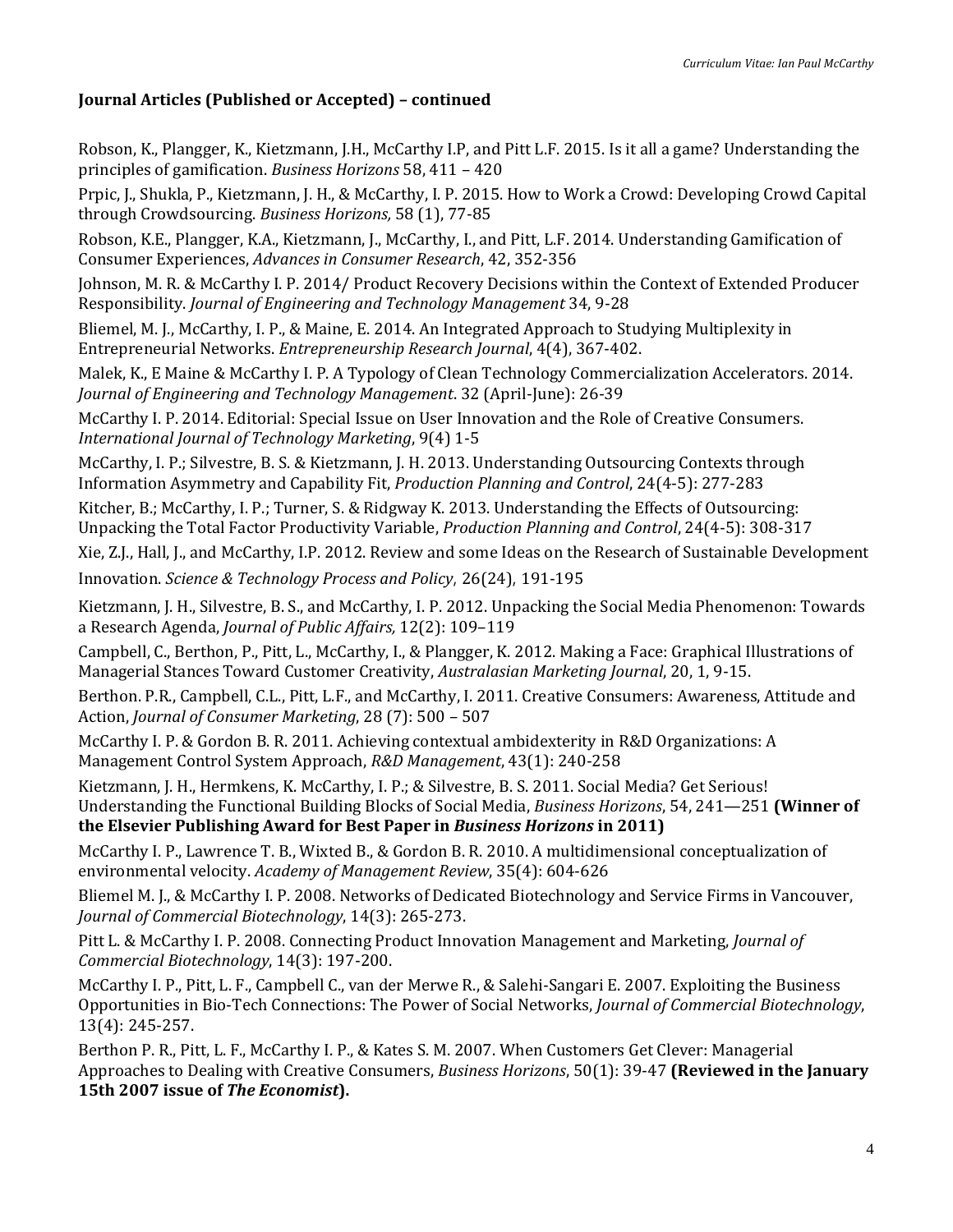# **Journal Articles (Published or Accepted) – continued**

Robson, K., Plangger, K., Kietzmann, J.H., McCarthy I.P, and Pitt L.F. 2015. Is it all a game? Understanding the principles of gamification. *Business Horizons* 58, 411 – 420

Prpic, J., Shukla, P., Kietzmann, J. H., & McCarthy, I. P. 2015. How to Work a Crowd: Developing Crowd Capital through Crowdsourcing. *Business Horizons,* 58 (1), 77-85

Robson, K.E., Plangger, K.A., Kietzmann, J., McCarthy, I., and Pitt, L.F. 2014. Understanding Gamification of Consumer Experiences, *Advances in Consumer Research*, 42, 352-356

Johnson, M. R. & McCarthy I. P. 2014/ Product Recovery Decisions within the Context of Extended Producer Responsibility. *Journal of Engineering and Technology Management* 34, 9-28

Bliemel, M. J., McCarthy, I. P., & Maine, E. 2014. An Integrated Approach to Studying Multiplexity in Entrepreneurial Networks. *Entrepreneurship Research Journal*, 4(4), 367-402.

Malek, K., E Maine & McCarthy I. P. A Typology of Clean Technology Commercialization Accelerators. 2014. *Journal of Engineering and Technology Management*. 32 (April-June): 26-39

McCarthy I. P. 2014. Editorial: Special Issue on User Innovation and the Role of Creative Consumers. *International Journal of Technology Marketing*, 9(4) 1-5

McCarthy, I. P.; Silvestre, B. S. & Kietzmann, J. H. 2013. Understanding Outsourcing Contexts through Information Asymmetry and Capability Fit, *Production Planning and Control*, 24(4-5): 277-283

Kitcher, B.; McCarthy, I. P.; Turner, S. & Ridgway K. 2013. Understanding the Effects of Outsourcing: Unpacking the Total Factor Productivity Variable, *Production Planning and Control*, 24(4-5): 308-317

Xie, Z.J., Hall, J., and McCarthy, I.P. 2012. Review and some Ideas on the Research of Sustainable Development

Innovation. *Science & Technology Process and Policy*, 26(24), 191-195

Kietzmann, J. H., Silvestre, B. S., and McCarthy, I. P. 2012. Unpacking the Social Media Phenomenon: Towards a Research Agenda, *Journal of Public Affairs,* 12(2): 109–119

Campbell, C., Berthon, P., Pitt, L., McCarthy, I., & Plangger, K. 2012. Making a Face: Graphical Illustrations of Managerial Stances Toward Customer Creativity, *Australasian Marketing Journal*, 20, 1, 9-15.

Berthon. P.R., Campbell, C.L., Pitt, L.F., and McCarthy, I. 2011. Creative Consumers: Awareness, Attitude and Action, *Journal of Consumer Marketing*, 28 (7): 500 – 507

McCarthy I. P. & Gordon B. R. 2011. Achieving contextual ambidexterity in R&D Organizations: A Management Control System Approach, *R&D Management*, 43(1): 240-258

Kietzmann, J. H., Hermkens, K. McCarthy, I. P.; & Silvestre, B. S. 2011. Social Media? Get Serious! Understanding the Functional Building Blocks of Social Media, *Business Horizons*, 54, 241—251 **(Winner of the Elsevier Publishing Award for Best Paper in** *Business Horizons* **in 2011)**

McCarthy I. P., Lawrence T. B., Wixted B., & Gordon B. R. 2010. A multidimensional conceptualization of environmental velocity. *Academy of Management Review*, 35(4): 604-626

Bliemel M. J., & McCarthy I. P. 2008. Networks of Dedicated Biotechnology and Service Firms in Vancouver, *Journal of Commercial Biotechnology*, 14(3): 265-273.

Pitt L. & McCarthy I. P. 2008. Connecting Product Innovation Management and Marketing, *Journal of Commercial Biotechnology*, 14(3): 197-200.

McCarthy I. P., Pitt, L. F., Campbell C., van der Merwe R., & Salehi-Sangari E. 2007. Exploiting the Business Opportunities in Bio-Tech Connections: The Power of Social Networks, *Journal of Commercial Biotechnology*, 13(4): 245-257.

Berthon P. R., Pitt, L. F., McCarthy I. P., & Kates S. M. 2007. When Customers Get Clever: Managerial Approaches to Dealing with Creative Consumers, *Business Horizons*, 50(1): 39-47 **(Reviewed in the January 15th 2007 issue of** *The Economist***).**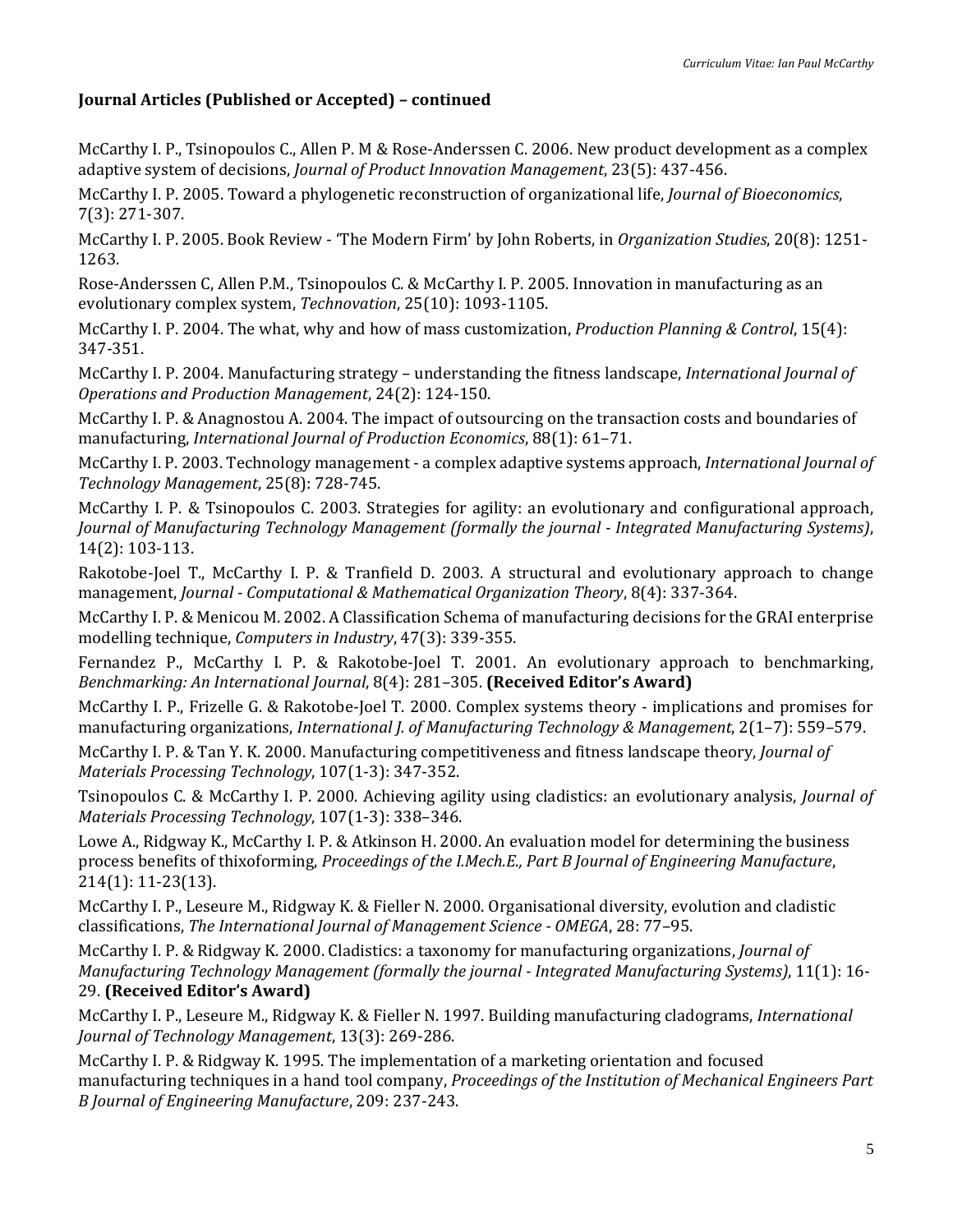# **Journal Articles (Published or Accepted) – continued**

McCarthy I. P., Tsinopoulos C., Allen P. M & Rose-Anderssen C. 2006. New product development as a complex adaptive system of decisions, *Journal of Product Innovation Management*, 23(5): 437-456.

McCarthy I. P. 2005. Toward a phylogenetic reconstruction of organizational life, *Journal of Bioeconomics*, 7(3): 271-307.

McCarthy I. P. 2005. Book Review - 'The Modern Firm' by John Roberts, in *Organization Studies*, 20(8): 1251- 1263.

Rose-Anderssen C, Allen P.M., Tsinopoulos C. & McCarthy I. P. 2005. Innovation in manufacturing as an evolutionary complex system, *Technovation*, 25(10): 1093-1105.

McCarthy I. P. 2004. The what, why and how of mass customization, *Production Planning & Control*, 15(4): 347-351.

McCarthy I. P. 2004. Manufacturing strategy – understanding the fitness landscape, *International Journal of Operations and Production Management*, 24(2): 124-150.

McCarthy I. P. & Anagnostou A. 2004. The impact of outsourcing on the transaction costs and boundaries of manufacturing, *International Journal of Production Economics*, 88(1): 61–71.

McCarthy I. P. 2003. Technology management - a complex adaptive systems approach, *International Journal of Technology Management*, 25(8): 728-745.

McCarthy I. P. & Tsinopoulos C. 2003. Strategies for agility: an evolutionary and configurational approach, *Journal of Manufacturing Technology Management (formally the journal - Integrated Manufacturing Systems)*, 14(2): 103-113.

Rakotobe-Joel T., McCarthy I. P. & Tranfield D. 2003. A structural and evolutionary approach to change management, *Journal - Computational & Mathematical Organization Theory*, 8(4): 337-364.

McCarthy I. P. & Menicou M. 2002. A Classification Schema of manufacturing decisions for the GRAI enterprise modelling technique, *Computers in Industry*, 47(3): 339-355.

Fernandez P., McCarthy I. P. & Rakotobe-Joel T. 2001. An evolutionary approach to benchmarking, *Benchmarking: An International Journal*, 8(4): 281–305. **(Received Editor's Award)**

McCarthy I. P., Frizelle G. & Rakotobe-Joel T. 2000. Complex systems theory - implications and promises for manufacturing organizations, *International J. of Manufacturing Technology & Management*, 2(1–7): 559–579.

McCarthy I. P. & Tan Y. K. 2000. Manufacturing competitiveness and fitness landscape theory, *Journal of Materials Processing Technology*, 107(1-3): 347-352.

Tsinopoulos C. & McCarthy I. P. 2000. Achieving agility using cladistics: an evolutionary analysis, *Journal of Materials Processing Technology*, 107(1-3): 338–346.

Lowe A., Ridgway K., McCarthy I. P. & Atkinson H. 2000. An evaluation model for determining the business process benefits of thixoforming, *Proceedings of the I.Mech.E., Part B Journal of Engineering Manufacture*, 214(1): 11-23(13).

McCarthy I. P., Leseure M., Ridgway K. & Fieller N. 2000. Organisational diversity, evolution and cladistic classifications, *The International Journal of Management Science - OMEGA*, 28: 77–95.

McCarthy I. P. & Ridgway K. 2000. Cladistics: a taxonomy for manufacturing organizations, *Journal of Manufacturing Technology Management (formally the journal - Integrated Manufacturing Systems)*, 11(1): 16- 29. **(Received Editor's Award)**

McCarthy I. P., Leseure M., Ridgway K. & Fieller N. 1997. Building manufacturing cladograms, *International Journal of Technology Management*, 13(3): 269-286.

McCarthy I. P. & Ridgway K. 1995. The implementation of a marketing orientation and focused manufacturing techniques in a hand tool company, *Proceedings of the Institution of Mechanical Engineers Part B Journal of Engineering Manufacture*, 209: 237-243.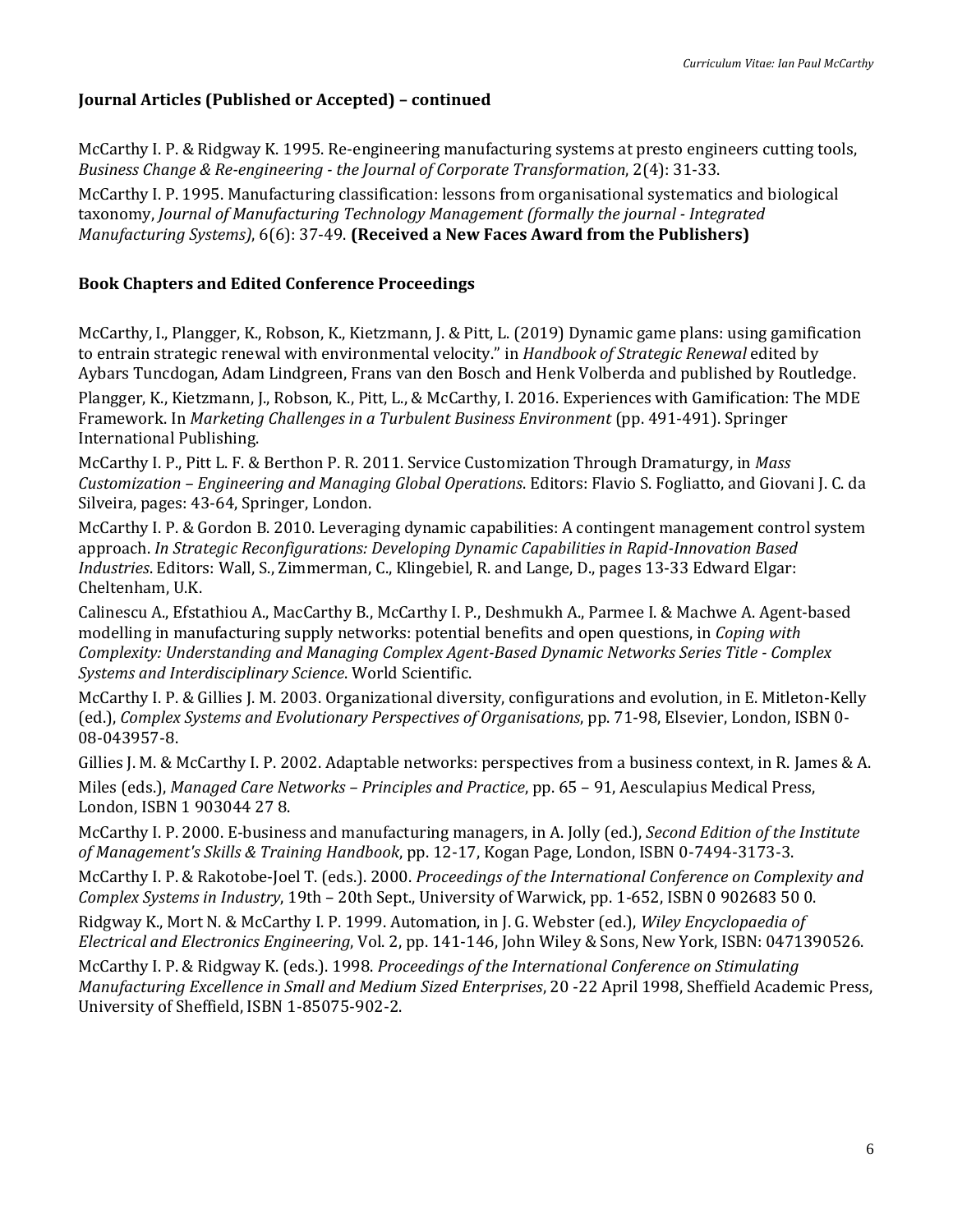### **Journal Articles (Published or Accepted) – continued**

McCarthy I. P. & Ridgway K. 1995. Re-engineering manufacturing systems at presto engineers cutting tools, *Business Change & Re-engineering - the Journal of Corporate Transformation*, 2(4): 31-33.

McCarthy I. P. 1995. Manufacturing classification: lessons from organisational systematics and biological taxonomy, *Journal of Manufacturing Technology Management (formally the journal - Integrated Manufacturing Systems)*, 6(6): 37-49. **(Received a New Faces Award from the Publishers)**

### **Book Chapters and Edited Conference Proceedings**

McCarthy, I., Plangger, K., Robson, K., Kietzmann, J. & Pitt, L. (2019) Dynamic game plans: using gamification to entrain strategic renewal with environmental velocity." in *Handbook of Strategic Renewal* edited by Aybars Tuncdogan, Adam Lindgreen, Frans van den Bosch and Henk Volberda and published by Routledge.

Plangger, K., Kietzmann, J., Robson, K., Pitt, L., & McCarthy, I. 2016. Experiences with Gamification: The MDE Framework. In *Marketing Challenges in a Turbulent Business Environment* (pp. 491-491). Springer International Publishing.

McCarthy I. P., Pitt L. F. & Berthon P. R. 2011. Service Customization Through Dramaturgy, in *Mass Customization – Engineering and Managing Global Operations*. Editors: Flavio S. Fogliatto, and Giovani J. C. da Silveira, pages: 43-64, Springer, London.

McCarthy I. P. & Gordon B. 2010. Leveraging dynamic capabilities: A contingent management control system approach. *In Strategic Reconfigurations: Developing Dynamic Capabilities in Rapid-Innovation Based Industries*. Editors: Wall, S., Zimmerman, C., Klingebiel, R. and Lange, D., pages 13-33 Edward Elgar: Cheltenham, U.K.

Calinescu A., Efstathiou A., MacCarthy B., McCarthy I. P., Deshmukh A., Parmee I. & Machwe A. Agent-based modelling in manufacturing supply networks: potential benefits and open questions, in *Coping with Complexity: Understanding and Managing Complex Agent-Based Dynamic Networks Series Title - Complex Systems and Interdisciplinary Science*. World Scientific.

McCarthy I. P. & Gillies J. M. 2003. Organizational diversity, configurations and evolution, in E. Mitleton-Kelly (ed.), *Complex Systems and Evolutionary Perspectives of Organisations*, pp. 71-98, Elsevier, London, ISBN 0- 08-043957-8.

Gillies J. M. & McCarthy I. P. 2002. Adaptable networks: perspectives from a business context, in R. James & A. Miles (eds.), *Managed Care Networks – Principles and Practice*, pp. 65 – 91, Aesculapius Medical Press, London, ISBN 1 903044 27 8.

McCarthy I. P. 2000. E-business and manufacturing managers, in A. Jolly (ed.), *Second Edition of the Institute of Management's Skills & Training Handbook*, pp. 12-17, Kogan Page, London, ISBN 0-7494-3173-3.

McCarthy I. P. & Rakotobe-Joel T. (eds.). 2000. *Proceedings of the International Conference on Complexity and Complex Systems in Industry*, 19th – 20th Sept., University of Warwick, pp. 1-652, ISBN 0 902683 50 0.

Ridgway K., Mort N. & McCarthy I. P. 1999. Automation, in J. G. Webster (ed.), *Wiley Encyclopaedia of Electrical and Electronics Engineering*, Vol. 2, pp. 141-146, John Wiley & Sons, New York, ISBN: 0471390526.

McCarthy I. P. & Ridgway K. (eds.). 1998. *Proceedings of the International Conference on Stimulating Manufacturing Excellence in Small and Medium Sized Enterprises*, 20 -22 April 1998, Sheffield Academic Press, University of Sheffield, ISBN 1-85075-902-2.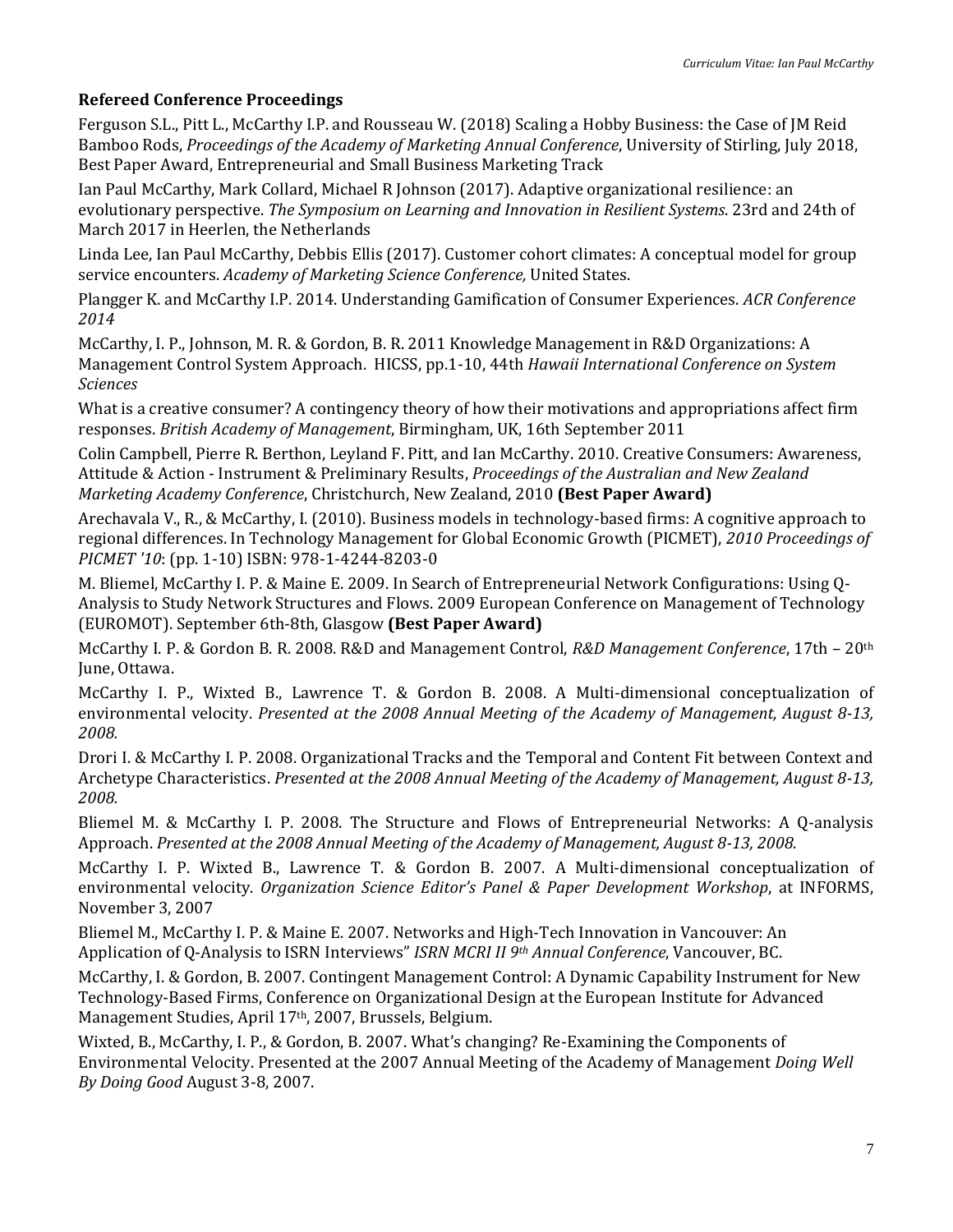### **Refereed Conference Proceedings**

Ferguson S.L., Pitt L., McCarthy I.P. and Rousseau W. (2018) Scaling a Hobby Business: the Case of JM Reid Bamboo Rods, *Proceedings of the Academy of Marketing Annual Conference*, University of Stirling, July 2018, Best Paper Award, Entrepreneurial and Small Business Marketing Track

Ian Paul McCarthy, Mark Collard, Michael R Johnson (2017). Adaptive organizational resilience: an evolutionary perspective. *The Symposium on Learning and Innovation in Resilient Systems*. 23rd and 24th of March 2017 in Heerlen, the Netherlands

Linda Lee, Ian Paul McCarthy, Debbis Ellis (2017). Customer cohort climates: A conceptual model for group service encounters. *Academy of Marketing Science Conference,* United States.

Plangger K. and McCarthy I.P. 2014. Understanding Gamification of Consumer Experiences. *ACR Conference 2014*

McCarthy, I. P., Johnson, M. R. & Gordon, B. R. 2011 Knowledge Management in R&D Organizations: A Management Control System Approach. HICSS, pp.1-10, 44th *Hawaii International Conference on System Sciences*

What is a creative consumer? A contingency theory of how their motivations and appropriations affect firm responses. *British Academy of Management*, Birmingham, UK, 16th September 2011

Colin Campbell, Pierre R. Berthon, Leyland F. Pitt, and Ian McCarthy. 2010. Creative Consumers: Awareness, Attitude & Action - Instrument & Preliminary Results, *Proceedings of the Australian and New Zealand Marketing Academy Conference*, Christchurch, New Zealand, 2010 **(Best Paper Award)**

Arechavala V., R., & McCarthy, I. (2010). Business models in technology-based firms: A cognitive approach to regional differences. In Technology Management for Global Economic Growth (PICMET), *2010 Proceedings of PICMET '10*: (pp. 1-10) ISBN: 978-1-4244-8203-0

M. Bliemel, McCarthy I. P. & Maine E. 2009. In Search of Entrepreneurial Network Configurations: Using Q-Analysis to Study Network Structures and Flows. 2009 European Conference on Management of Technology (EUROMOT). September 6th-8th, Glasgow **(Best Paper Award)**

McCarthy I. P. & Gordon B. R. 2008. R&D and Management Control, *R&D Management Conference*, 17th – 20th June, Ottawa.

McCarthy I. P., Wixted B., Lawrence T. & Gordon B. 2008. A Multi-dimensional conceptualization of environmental velocity. *Presented at the 2008 Annual Meeting of the Academy of Management, August 8-13, 2008.*

Drori I. & McCarthy I. P. 2008. Organizational Tracks and the Temporal and Content Fit between Context and Archetype Characteristics. *Presented at the 2008 Annual Meeting of the Academy of Management, August 8-13, 2008.*

Bliemel M. & McCarthy I. P. 2008. The Structure and Flows of Entrepreneurial Networks: A Q-analysis Approach. *Presented at the 2008 Annual Meeting of the Academy of Management, August 8-13, 2008.*

McCarthy I. P. Wixted B., Lawrence T. & Gordon B. 2007. A Multi-dimensional conceptualization of environmental velocity. *Organization Science Editor's Panel & Paper Development Workshop*, at INFORMS, November 3, 2007

Bliemel M., McCarthy I. P. & Maine E. 2007. Networks and High-Tech Innovation in Vancouver: An Application of Q-Analysis to ISRN Interviews" *ISRN MCRI II 9th Annual Conference*, Vancouver, BC.

McCarthy, I. & Gordon, B. 2007. Contingent Management Control: A Dynamic Capability Instrument for New Technology-Based Firms, Conference on Organizational Design at the European Institute for Advanced Management Studies, April 17<sup>th</sup>, 2007, Brussels, Belgium.

Wixted, B., McCarthy, I. P., & Gordon, B. 2007. What's changing? Re-Examining the Components of Environmental Velocity. Presented at the 2007 Annual Meeting of the Academy of Management *Doing Well By Doing Good* August 3-8, 2007.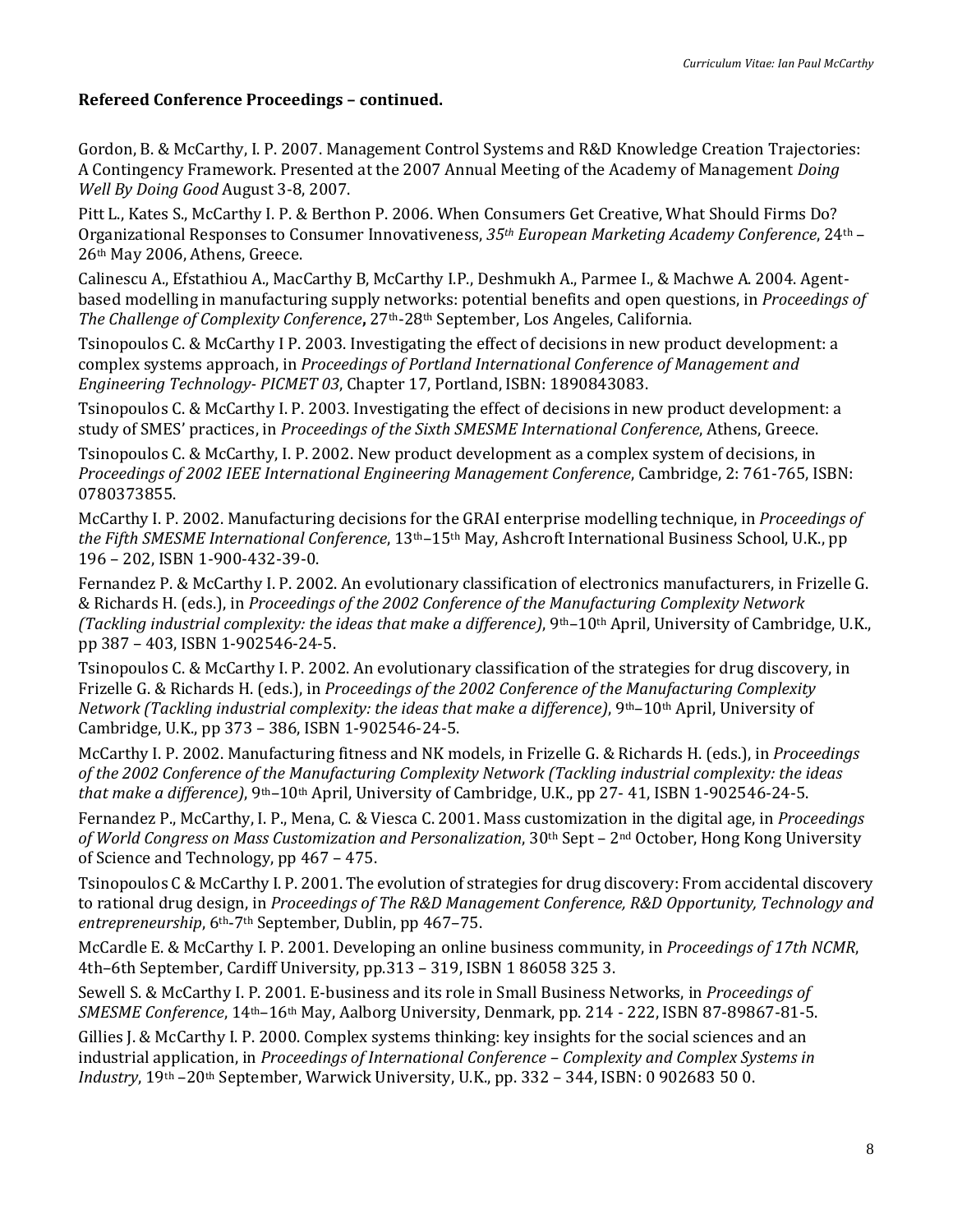Gordon, B. & McCarthy, I. P. 2007. Management Control Systems and R&D Knowledge Creation Trajectories: A Contingency Framework. Presented at the 2007 Annual Meeting of the Academy of Management *Doing Well By Doing Good* August 3-8, 2007.

Pitt L., Kates S., McCarthy I. P. & Berthon P. 2006. When Consumers Get Creative, What Should Firms Do? Organizational Responses to Consumer Innovativeness, *35th European Marketing Academy Conference*, 24th – 26th May 2006, Athens, Greece.

Calinescu A., Efstathiou A., MacCarthy B, McCarthy I.P., Deshmukh A., Parmee I., & Machwe A. 2004. Agentbased modelling in manufacturing supply networks: potential benefits and open questions, in *Proceedings of The Challenge of Complexity Conference***,** 27th-28th September, Los Angeles, California.

Tsinopoulos C. & McCarthy I P. 2003. Investigating the effect of decisions in new product development: a complex systems approach, in *Proceedings of Portland International Conference of Management and Engineering Technology- PICMET 03*, Chapter 17, Portland, ISBN: 1890843083.

Tsinopoulos C. & McCarthy I. P. 2003. Investigating the effect of decisions in new product development: a study of SMES' practices, in *Proceedings of the Sixth SMESME International Conference*, Athens, Greece.

Tsinopoulos C. & McCarthy, I. P. 2002. New product development as a complex system of decisions, in *Proceedings of 2002 IEEE International Engineering Management Conference*, Cambridge, 2: 761-765, ISBN: 0780373855.

McCarthy I. P. 2002. Manufacturing decisions for the GRAI enterprise modelling technique, in *Proceedings of the Fifth SMESME International Conference*, 13th–15th May, Ashcroft International Business School, U.K., pp 196 – 202, ISBN 1-900-432-39-0.

Fernandez P. & McCarthy I. P. 2002. An evolutionary classification of electronics manufacturers, in Frizelle G. & Richards H. (eds.), in *Proceedings of the 2002 Conference of the Manufacturing Complexity Network (Tackling industrial complexity: the ideas that make a difference)*, 9th–10th April, University of Cambridge, U.K., pp 387 – 403, ISBN 1-902546-24-5.

Tsinopoulos C. & McCarthy I. P. 2002. An evolutionary classification of the strategies for drug discovery, in Frizelle G. & Richards H. (eds.), in *Proceedings of the 2002 Conference of the Manufacturing Complexity Network (Tackling industrial complexity: the ideas that make a difference)*, 9th–10th April, University of Cambridge, U.K., pp 373 – 386, ISBN 1-902546-24-5.

McCarthy I. P. 2002. Manufacturing fitness and NK models, in Frizelle G. & Richards H. (eds.), in *Proceedings of the 2002 Conference of the Manufacturing Complexity Network (Tackling industrial complexity: the ideas that make a difference)*, 9th–10th April, University of Cambridge, U.K., pp 27- 41, ISBN 1-902546-24-5.

Fernandez P., McCarthy, I. P., Mena, C. & Viesca C. 2001. Mass customization in the digital age, in *Proceedings of World Congress on Mass Customization and Personalization*, 30th Sept – 2nd October, Hong Kong University of Science and Technology, pp 467 – 475.

Tsinopoulos C & McCarthy I. P. 2001. The evolution of strategies for drug discovery: From accidental discovery to rational drug design, in *Proceedings of The R&D Management Conference, R&D Opportunity, Technology and entrepreneurship*, 6th-7th September, Dublin, pp 467–75.

McCardle E. & McCarthy I. P. 2001. Developing an online business community, in *Proceedings of 17th NCMR*, 4th–6th September, Cardiff University, pp.313 – 319, ISBN 1 86058 325 3.

Sewell S. & McCarthy I. P. 2001. E-business and its role in Small Business Networks, in *Proceedings of SMESME Conference*, 14th–16th May, Aalborg University, Denmark, pp. 214 - 222, ISBN 87-89867-81-5.

Gillies J. & McCarthy I. P. 2000. Complex systems thinking: key insights for the social sciences and an industrial application, in *Proceedings of International Conference – Complexity and Complex Systems in Industry*, 19th –20th September, Warwick University, U.K., pp. 332 – 344, ISBN: 0 902683 50 0.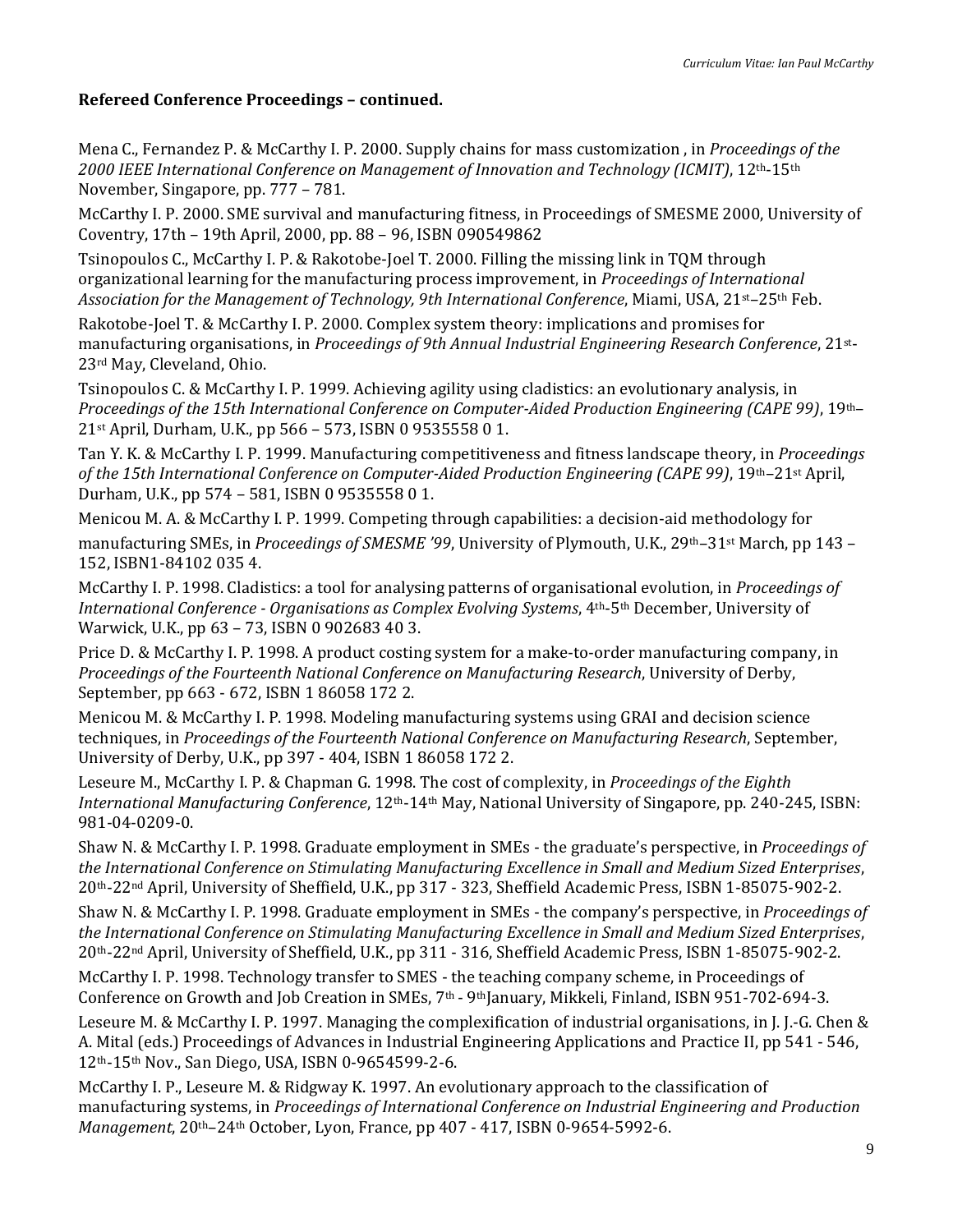Mena C., Fernandez P. & McCarthy I. P. 2000. Supply chains for mass customization , in *Proceedings of the 2000 IEEE International Conference on Management of Innovation and Technology (ICMIT)*, 12th-15th November, Singapore, pp. 777 – 781.

McCarthy I. P. 2000. SME survival and manufacturing fitness, in Proceedings of SMESME 2000, University of Coventry, 17th – 19th April, 2000, pp. 88 – 96, ISBN 090549862

Tsinopoulos C., McCarthy I. P. & Rakotobe-Joel T. 2000. Filling the missing link in TQM through organizational learning for the manufacturing process improvement, in *Proceedings of International Association for the Management of Technology, 9th International Conference*, Miami, USA, 21st–25th Feb.

Rakotobe-Joel T. & McCarthy I. P. 2000. Complex system theory: implications and promises for manufacturing organisations, in *Proceedings of 9th Annual Industrial Engineering Research Conference*, 21st-23rd May, Cleveland, Ohio.

Tsinopoulos C. & McCarthy I. P. 1999. Achieving agility using cladistics: an evolutionary analysis, in *Proceedings of the 15th International Conference on Computer-Aided Production Engineering (CAPE 99)*, 19th– 21st April, Durham, U.K., pp 566 – 573, ISBN 0 9535558 0 1.

Tan Y. K. & McCarthy I. P. 1999. Manufacturing competitiveness and fitness landscape theory, in *Proceedings of the 15th International Conference on Computer-Aided Production Engineering (CAPE 99)*, 19th–21st April, Durham, U.K., pp 574 – 581, ISBN 0 9535558 0 1.

Menicou M. A. & McCarthy I. P. 1999. Competing through capabilities: a decision-aid methodology for manufacturing SMEs, in *Proceedings of SMESME '99*, University of Plymouth, U.K., 29th–31st March, pp 143 – 152, ISBN1-84102 035 4.

McCarthy I. P. 1998. Cladistics: a tool for analysing patterns of organisational evolution, in *Proceedings of International Conference - Organisations as Complex Evolving Systems*, 4th-5th December, University of Warwick, U.K., pp 63 – 73, ISBN 0 902683 40 3.

Price D. & McCarthy I. P. 1998. A product costing system for a make-to-order manufacturing company, in *Proceedings of the Fourteenth National Conference on Manufacturing Research*, University of Derby, September, pp 663 - 672, ISBN 1 86058 172 2.

Menicou M. & McCarthy I. P. 1998. Modeling manufacturing systems using GRAI and decision science techniques, in *Proceedings of the Fourteenth National Conference on Manufacturing Research*, September, University of Derby, U.K., pp 397 - 404, ISBN 1 86058 172 2.

Leseure M., McCarthy I. P. & Chapman G. 1998. The cost of complexity, in *Proceedings of the Eighth International Manufacturing Conference*, 12th-14th May, National University of Singapore, pp. 240-245, ISBN: 981-04-0209-0.

Shaw N. & McCarthy I. P. 1998. Graduate employment in SMEs - the graduate's perspective, in *Proceedings of the International Conference on Stimulating Manufacturing Excellence in Small and Medium Sized Enterprises*, 20th-22nd April, University of Sheffield, U.K., pp 317 - 323, Sheffield Academic Press, ISBN 1-85075-902-2.

Shaw N. & McCarthy I. P. 1998. Graduate employment in SMEs - the company's perspective, in *Proceedings of the International Conference on Stimulating Manufacturing Excellence in Small and Medium Sized Enterprises*, 20th-22nd April, University of Sheffield, U.K., pp 311 - 316, Sheffield Academic Press, ISBN 1-85075-902-2.

McCarthy I. P. 1998. Technology transfer to SMES - the teaching company scheme, in Proceedings of Conference on Growth and Job Creation in SMEs, 7<sup>th</sup> - 9<sup>th</sup>January, Mikkeli, Finland, ISBN 951-702-694-3.

Leseure M. & McCarthy I. P. 1997. Managing the complexification of industrial organisations, in J. J.-G. Chen & A. Mital (eds.) Proceedings of Advances in Industrial Engineering Applications and Practice II, pp 541 - 546, 12th-15th Nov., San Diego, USA, ISBN 0-9654599-2-6.

McCarthy I. P., Leseure M. & Ridgway K. 1997. An evolutionary approach to the classification of manufacturing systems, in *Proceedings of International Conference on Industrial Engineering and Production Management*, 20th–24th October, Lyon, France, pp 407 - 417, ISBN 0-9654-5992-6.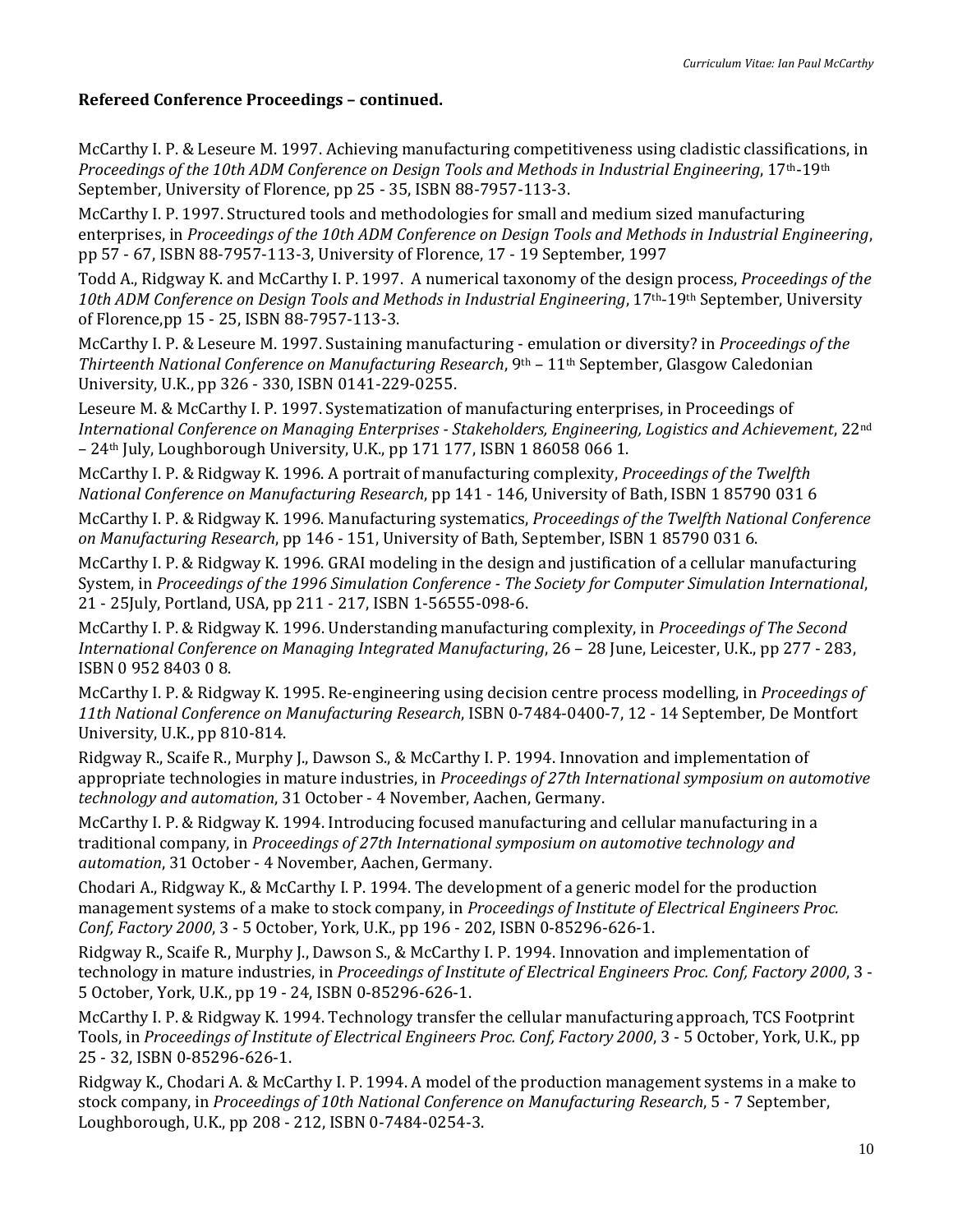McCarthy I. P. & Leseure M. 1997. Achieving manufacturing competitiveness using cladistic classifications, in *Proceedings of the 10th ADM Conference on Design Tools and Methods in Industrial Engineering*, 17th-19th September, University of Florence, pp 25 - 35, ISBN 88-7957-113-3.

McCarthy I. P. 1997. Structured tools and methodologies for small and medium sized manufacturing enterprises, in *Proceedings of the 10th ADM Conference on Design Tools and Methods in Industrial Engineering*, pp 57 - 67, ISBN 88-7957-113-3, University of Florence, 17 - 19 September, 1997

Todd A., Ridgway K. and McCarthy I. P. 1997. A numerical taxonomy of the design process, *Proceedings of the 10th ADM Conference on Design Tools and Methods in Industrial Engineering*, 17th-19th September, University of Florence,pp 15 - 25, ISBN 88-7957-113-3.

McCarthy I. P. & Leseure M. 1997. Sustaining manufacturing - emulation or diversity? in *Proceedings of the Thirteenth National Conference on Manufacturing Research*, 9th – 11th September, Glasgow Caledonian University, U.K., pp 326 - 330, ISBN 0141-229-0255.

Leseure M. & McCarthy I. P. 1997. Systematization of manufacturing enterprises, in Proceedings of *International Conference on Managing Enterprises - Stakeholders, Engineering, Logistics and Achievement*, 22nd – 24th July, Loughborough University, U.K., pp 171 177, ISBN 1 86058 066 1.

McCarthy I. P. & Ridgway K. 1996. A portrait of manufacturing complexity, *Proceedings of the Twelfth National Conference on Manufacturing Research*, pp 141 - 146, University of Bath, ISBN 1 85790 031 6

McCarthy I. P. & Ridgway K. 1996. Manufacturing systematics, *Proceedings of the Twelfth National Conference on Manufacturing Research*, pp 146 - 151, University of Bath, September, ISBN 1 85790 031 6.

McCarthy I. P. & Ridgway K. 1996. GRAI modeling in the design and justification of a cellular manufacturing System, in *Proceedings of the 1996 Simulation Conference - The Society for Computer Simulation International*, 21 - 25July, Portland, USA, pp 211 - 217, ISBN 1-56555-098-6.

McCarthy I. P. & Ridgway K. 1996. Understanding manufacturing complexity, in *Proceedings of The Second International Conference on Managing Integrated Manufacturing*, 26 – 28 June, Leicester, U.K., pp 277 - 283, ISBN 0 952 8403 0 8.

McCarthy I. P. & Ridgway K. 1995. Re-engineering using decision centre process modelling, in *Proceedings of 11th National Conference on Manufacturing Research*, ISBN 0-7484-0400-7, 12 - 14 September, De Montfort University, U.K., pp 810-814.

Ridgway R., Scaife R., Murphy J., Dawson S., & McCarthy I. P. 1994. Innovation and implementation of appropriate technologies in mature industries, in *Proceedings of 27th International symposium on automotive technology and automation*, 31 October - 4 November, Aachen, Germany.

McCarthy I. P. & Ridgway K. 1994. Introducing focused manufacturing and cellular manufacturing in a traditional company, in *Proceedings of 27th International symposium on automotive technology and automation*, 31 October - 4 November, Aachen, Germany.

Chodari A., Ridgway K., & McCarthy I. P. 1994. The development of a generic model for the production management systems of a make to stock company, in *Proceedings of Institute of Electrical Engineers Proc. Conf, Factory 2000*, 3 - 5 October, York, U.K., pp 196 - 202, ISBN 0-85296-626-1.

Ridgway R., Scaife R., Murphy J., Dawson S., & McCarthy I. P. 1994. Innovation and implementation of technology in mature industries, in *Proceedings of Institute of Electrical Engineers Proc. Conf, Factory 2000*, 3 - 5 October, York, U.K., pp 19 - 24, ISBN 0-85296-626-1.

McCarthy I. P. & Ridgway K. 1994. Technology transfer the cellular manufacturing approach, TCS Footprint Tools, in *Proceedings of Institute of Electrical Engineers Proc. Conf, Factory 2000*, 3 - 5 October, York, U.K., pp 25 - 32, ISBN 0-85296-626-1.

Ridgway K., Chodari A. & McCarthy I. P. 1994. A model of the production management systems in a make to stock company, in *Proceedings of 10th National Conference on Manufacturing Research*, 5 - 7 September, Loughborough, U.K., pp 208 - 212, ISBN 0-7484-0254-3.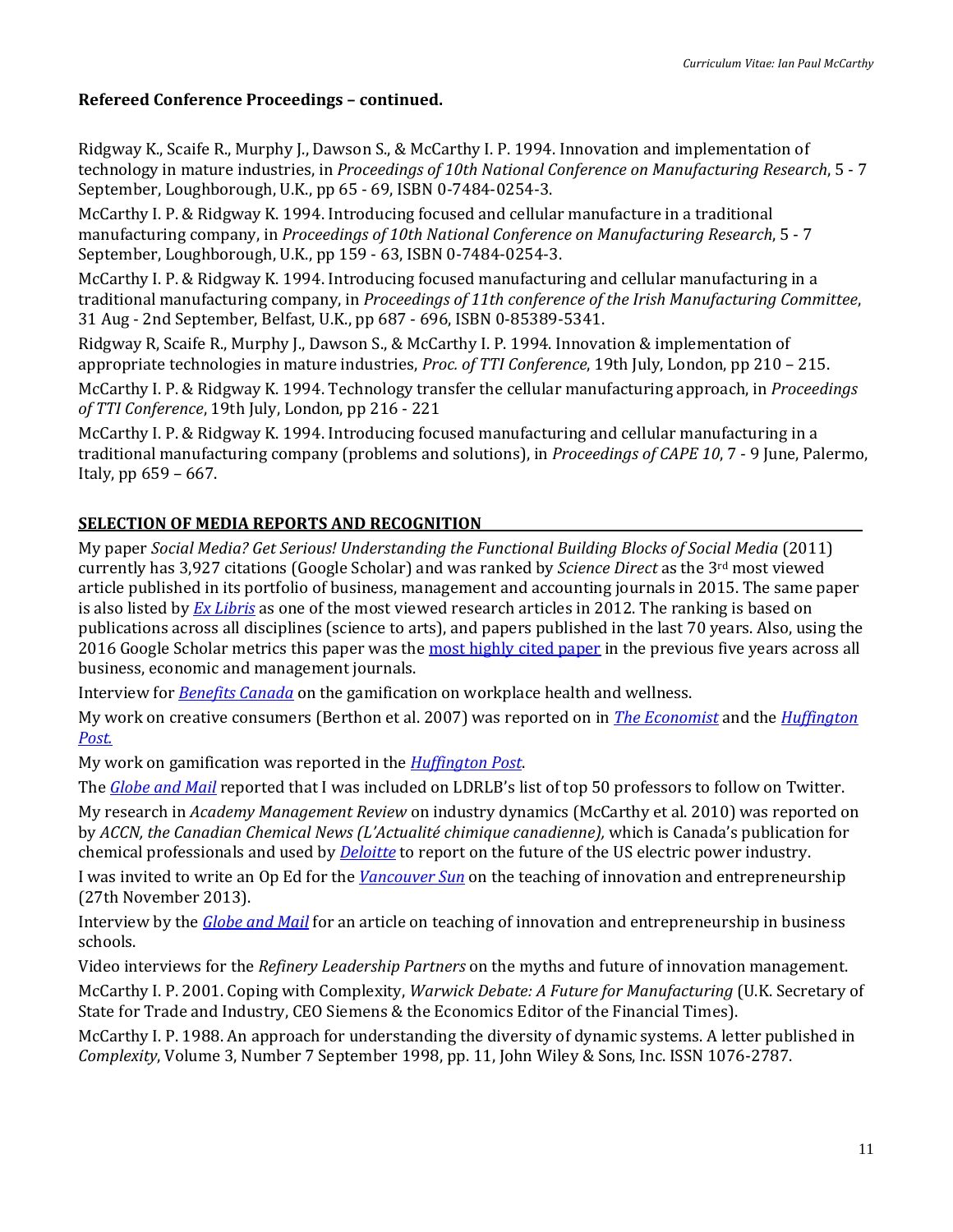Ridgway K., Scaife R., Murphy J., Dawson S., & McCarthy I. P. 1994. Innovation and implementation of technology in mature industries, in *Proceedings of 10th National Conference on Manufacturing Research*, 5 - 7 September, Loughborough, U.K., pp 65 - 69, ISBN 0-7484-0254-3.

McCarthy I. P. & Ridgway K. 1994. Introducing focused and cellular manufacture in a traditional manufacturing company, in *Proceedings of 10th National Conference on Manufacturing Research*, 5 - 7 September, Loughborough, U.K., pp 159 - 63, ISBN 0-7484-0254-3.

McCarthy I. P. & Ridgway K. 1994. Introducing focused manufacturing and cellular manufacturing in a traditional manufacturing company, in *Proceedings of 11th conference of the Irish Manufacturing Committee*, 31 Aug - 2nd September, Belfast, U.K., pp 687 - 696, ISBN 0-85389-5341.

Ridgway R, Scaife R., Murphy J., Dawson S., & McCarthy I. P. 1994. Innovation & implementation of appropriate technologies in mature industries, *Proc. of TTI Conference*, 19th July, London, pp 210 – 215.

McCarthy I. P. & Ridgway K. 1994. Technology transfer the cellular manufacturing approach, in *Proceedings of TTI Conference*, 19th July, London, pp 216 - 221

McCarthy I. P. & Ridgway K. 1994. Introducing focused manufacturing and cellular manufacturing in a traditional manufacturing company (problems and solutions), in *Proceedings of CAPE 10*, 7 - 9 June, Palermo, Italy, pp 659 – 667.

### **SELECTION OF MEDIA REPORTS AND RECOGNITION**

My paper *Social Media? Get Serious! Understanding the Functional Building Blocks of Social Media* (2011) currently has 3,927 citations (Google Scholar) and was ranked by *Science Direct* as the 3rd most viewed article published in its portfolio of business, management and accounting journals in 2015. The same paper is also listed by *[Ex Libris](http://www.exlibrisgroup.com/category/MostPopularArticles)* as one of the most viewed research articles in 2012. The ranking is based on publications across all disciplines (science to arts), and papers published in the last 70 years. Also, using the 2016 Google Scholar metrics this paper was th[e most highly cited paper](http://beedie.sfu.ca/newsroom/2016/08/top-of-the-charts-beedie-professors-top-google-metrics-list/) in the previous five years across all business, economic and management journals.

Interview for *[Benefits Canada](https://www.benefitscanada.com/benefits/health-wellness/pokemon-go-engagement-health-outcomes-short-lived-study-finds-92667)* on the gamification on workplace health and wellness.

My work on creative consumers (Berthon et al. 2007) was reported on in *[The Economist](http://www.economist.com/node/8511851)* and the *[Huffington](https://www.huffingtonpost.ca/liisa-atva/consumers-as-cocreators_b_11060218.html)  [Post.](https://www.huffingtonpost.ca/liisa-atva/consumers-as-cocreators_b_11060218.html)*

My work on gamification was reported in the *[Huffington Post](https://www.huffingtonpost.ca/liisa-atva/gamification-business-model_b_8038962.html)*.

The *[Globe and Mail](http://www.theglobeandmail.com/report-on-business/careers/business-education/top-50-twitter-profs-include-these-canadian-b-school-teachers/article13794308/)* reported that I was included on LDRLB's list of top 50 professors to follow on Twitter.

My research in *Academy Management Review* on industry dynamics (McCarthy et al. 2010) was reported on by *ACCN, the Canadian Chemical News (L'Actualité chimique canadienne),* which is Canada's publication for chemical professionals and used by *[Deloitte](http://dupress.com/articles/beyond-the-math-preparing-for-disruption-and-innovation-in-the-us-electric-power-industry/)* to report on the future of the US electric power industry.

I was invited to write an Op Ed for the *[Vancouver Sun](http://www.vancouversun.com/business/2035/Entrepreneurship+innovation+must+taught/7618255/story.html)* on the teaching of innovation and entrepreneurship (27th November 2013).

Interview by the *[Globe and Mail](http://www.theglobeandmail.com/report-on-business/careers/business-education/can-creativity-be-taught-b-schools-join-the-debate/article9707891/)* for an article on teaching of innovation and entrepreneurship in business schools.

Video interviews for the *Refinery Leadership Partners* on the myths and future of innovation management.

McCarthy I. P. 2001. Coping with Complexity, *Warwick Debate: A Future for Manufacturing* (U.K. Secretary of State for Trade and Industry, CEO Siemens & the Economics Editor of the Financial Times).

McCarthy I. P. 1988. An approach for understanding the diversity of dynamic systems. A letter published in *Complexity*, Volume 3, Number 7 September 1998, pp. 11, John Wiley & Sons, Inc. ISSN 1076-2787.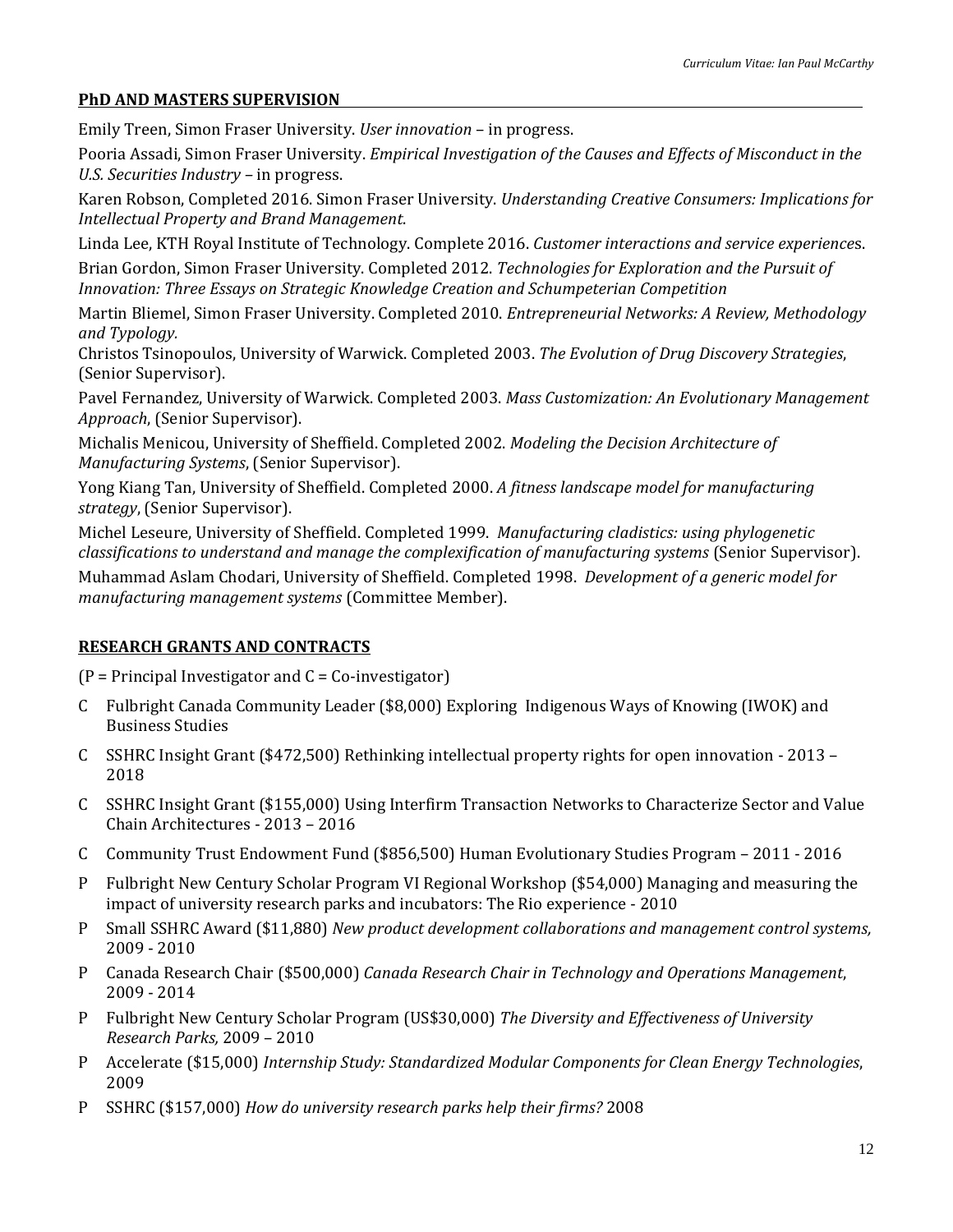### **PhD AND MASTERS SUPERVISION**

Emily Treen, Simon Fraser University. *User innovation* – in progress.

Pooria Assadi, Simon Fraser University. *Empirical Investigation of the Causes and Effects of Misconduct in the U.S. Securities Industry –* in progress.

Karen Robson, Completed 2016. Simon Fraser University. *Understanding Creative Consumers: Implications for Intellectual Property and Brand Management*.

Linda Lee, KTH Royal Institute of Technology. Complete 2016. *Customer interactions and service experience*s.

Brian Gordon, Simon Fraser University. Completed 2012. *Technologies for Exploration and the Pursuit of Innovation: Three Essays on Strategic Knowledge Creation and Schumpeterian Competition*

Martin Bliemel, Simon Fraser University. Completed 2010. *Entrepreneurial Networks: A Review, Methodology and Typology.*

Christos Tsinopoulos, University of Warwick. Completed 2003. *The Evolution of Drug Discovery Strategies*, (Senior Supervisor).

Pavel Fernandez, University of Warwick. Completed 2003. *Mass Customization: An Evolutionary Management Approach*, (Senior Supervisor).

Michalis Menicou, University of Sheffield. Completed 2002. *Modeling the Decision Architecture of Manufacturing Systems*, (Senior Supervisor).

Yong Kiang Tan, University of Sheffield. Completed 2000. *A fitness landscape model for manufacturing strategy*, (Senior Supervisor).

Michel Leseure, University of Sheffield. Completed 1999. *Manufacturing cladistics: using phylogenetic classifications to understand and manage the complexification of manufacturing systems* (Senior Supervisor).

Muhammad Aslam Chodari, University of Sheffield. Completed 1998. *Development of a generic model for manufacturing management systems* (Committee Member).

# **RESEARCH GRANTS AND CONTRACTS**

 $(P = Principal Investment and C = Co-investigator)$ 

- C Fulbright Canada Community Leader (\$8,000) Exploring Indigenous Ways of Knowing (IWOK) and Business Studies
- C SSHRC Insight Grant (\$472,500) Rethinking intellectual property rights for open innovation 2013 2018
- C SSHRC Insight Grant (\$155,000) Using Interfirm Transaction Networks to Characterize Sector and Value Chain Architectures - 2013 – 2016
- C Community Trust Endowment Fund (\$856,500) Human Evolutionary Studies Program 2011 2016
- P Fulbright New Century Scholar Program VI Regional Workshop (\$54,000) Managing and measuring the impact of university research parks and incubators: The Rio experience - 2010
- P Small SSHRC Award (\$11,880) *New product development collaborations and management control systems,*  2009 - 2010
- P Canada Research Chair (\$500,000) *Canada Research Chair in Technology and Operations Management*, 2009 - 2014
- P Fulbright New Century Scholar Program (US\$30,000) *The Diversity and Effectiveness of University Research Parks,* 2009 – 2010
- P Accelerate (\$15,000) *Internship Study: Standardized Modular Components for Clean Energy Technologies*, 2009
- P SSHRC (\$157,000) *How do university research parks help their firms?* 2008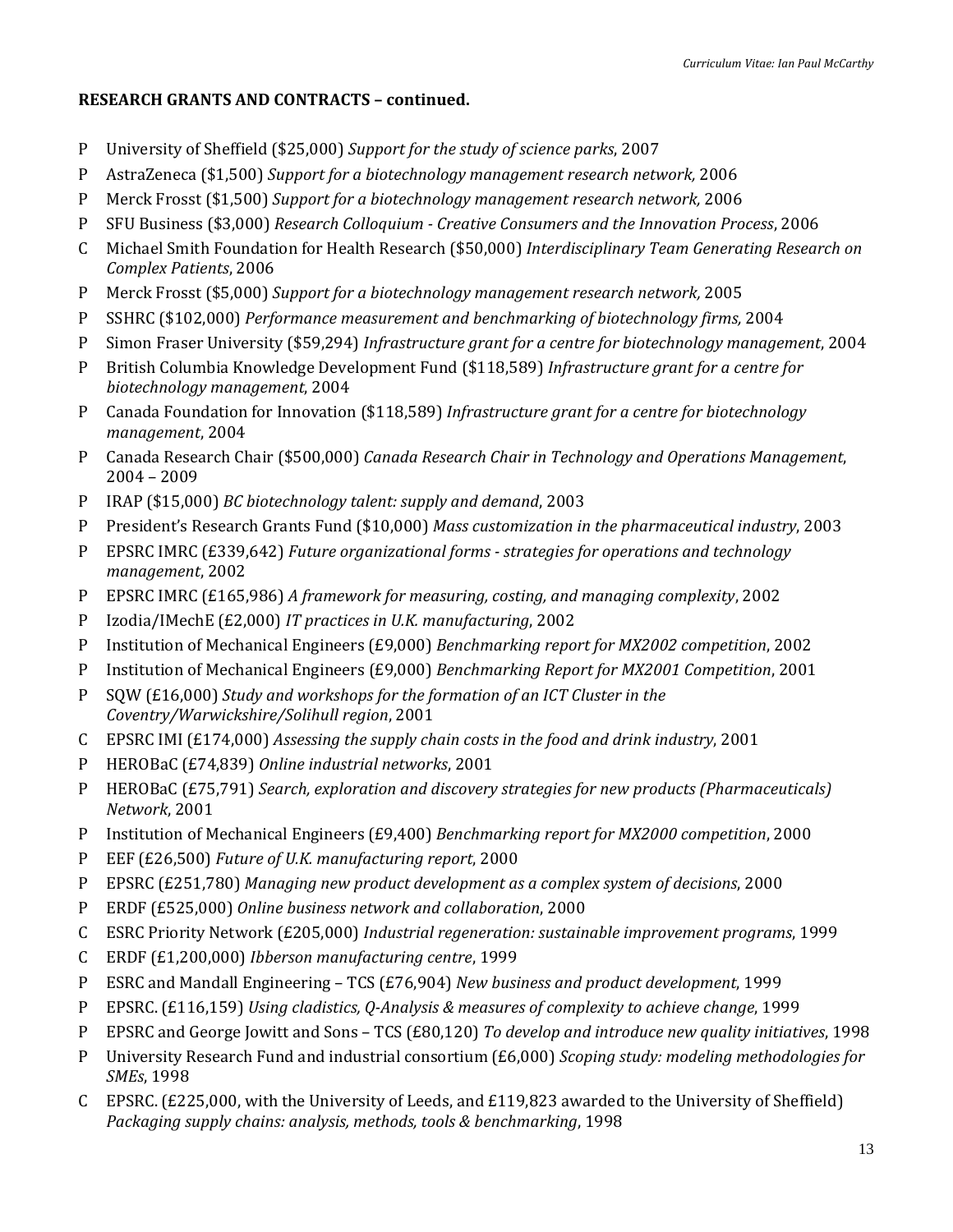# **RESEARCH GRANTS AND CONTRACTS – continued.**

- P University of Sheffield (\$25,000) *Support for the study of science parks*, 2007
- P AstraZeneca (\$1,500) *Support for a biotechnology management research network,* 2006
- P Merck Frosst (\$1,500) *Support for a biotechnology management research network,* 2006
- P SFU Business (\$3,000) *Research Colloquium - Creative Consumers and the Innovation Process*, 2006
- C Michael Smith Foundation for Health Research (\$50,000) *Interdisciplinary Team Generating Research on Complex Patients*, 2006
- P Merck Frosst (\$5,000) *Support for a biotechnology management research network,* 2005
- P SSHRC (\$102,000) *Performance measurement and benchmarking of biotechnology firms,* 2004
- P Simon Fraser University (\$59,294) *Infrastructure grant for a centre for biotechnology management*, 2004
- P British Columbia Knowledge Development Fund (\$118,589) *Infrastructure grant for a centre for biotechnology management*, 2004
- P Canada Foundation for Innovation (\$118,589) *Infrastructure grant for a centre for biotechnology management*, 2004
- P Canada Research Chair (\$500,000) *Canada Research Chair in Technology and Operations Management*, 2004 – 2009
- P IRAP (\$15,000) *BC biotechnology talent: supply and demand*, 2003
- P President's Research Grants Fund (\$10,000) *Mass customization in the pharmaceutical industry*, 2003
- P EPSRC IMRC (£339,642) *Future organizational forms - strategies for operations and technology management*, 2002
- P EPSRC IMRC (£165,986) *A framework for measuring, costing, and managing complexity*, 2002
- P Izodia/IMechE (£2,000) *IT practices in U.K. manufacturing*, 2002
- P Institution of Mechanical Engineers (£9,000) *Benchmarking report for MX2002 competition*, 2002
- P Institution of Mechanical Engineers (£9,000) *Benchmarking Report for MX2001 Competition*, 2001
- P SQW (£16,000) *Study and workshops for the formation of an ICT Cluster in the Coventry/Warwickshire/Solihull region*, 2001
- C EPSRC IMI (£174,000) *Assessing the supply chain costs in the food and drink industry*, 2001
- P HEROBaC (£74,839) *Online industrial networks*, 2001
- P HEROBaC (£75,791) *Search, exploration and discovery strategies for new products (Pharmaceuticals) Network*, 2001
- P Institution of Mechanical Engineers (£9,400) *Benchmarking report for MX2000 competition*, 2000
- P EEF (£26,500) *Future of U.K. manufacturing report*, 2000
- P EPSRC (£251,780) *Managing new product development as a complex system of decisions*, 2000
- P ERDF (£525,000) *Online business network and collaboration*, 2000
- C ESRC Priority Network (£205,000) *Industrial regeneration: sustainable improvement programs*, 1999
- C ERDF (£1,200,000) *Ibberson manufacturing centre*, 1999
- P ESRC and Mandall Engineering TCS (£76,904) *New business and product development*, 1999
- P EPSRC. (£116,159) *Using cladistics, Q-Analysis & measures of complexity to achieve change*, 1999
- P EPSRC and George Jowitt and Sons TCS (£80,120) *To develop and introduce new quality initiatives*, 1998
- P University Research Fund and industrial consortium (£6,000) *Scoping study: modeling methodologies for SMEs*, 1998
- C EPSRC. (£225,000, with the University of Leeds, and £119,823 awarded to the University of Sheffield) *Packaging supply chains: analysis, methods, tools & benchmarking*, 1998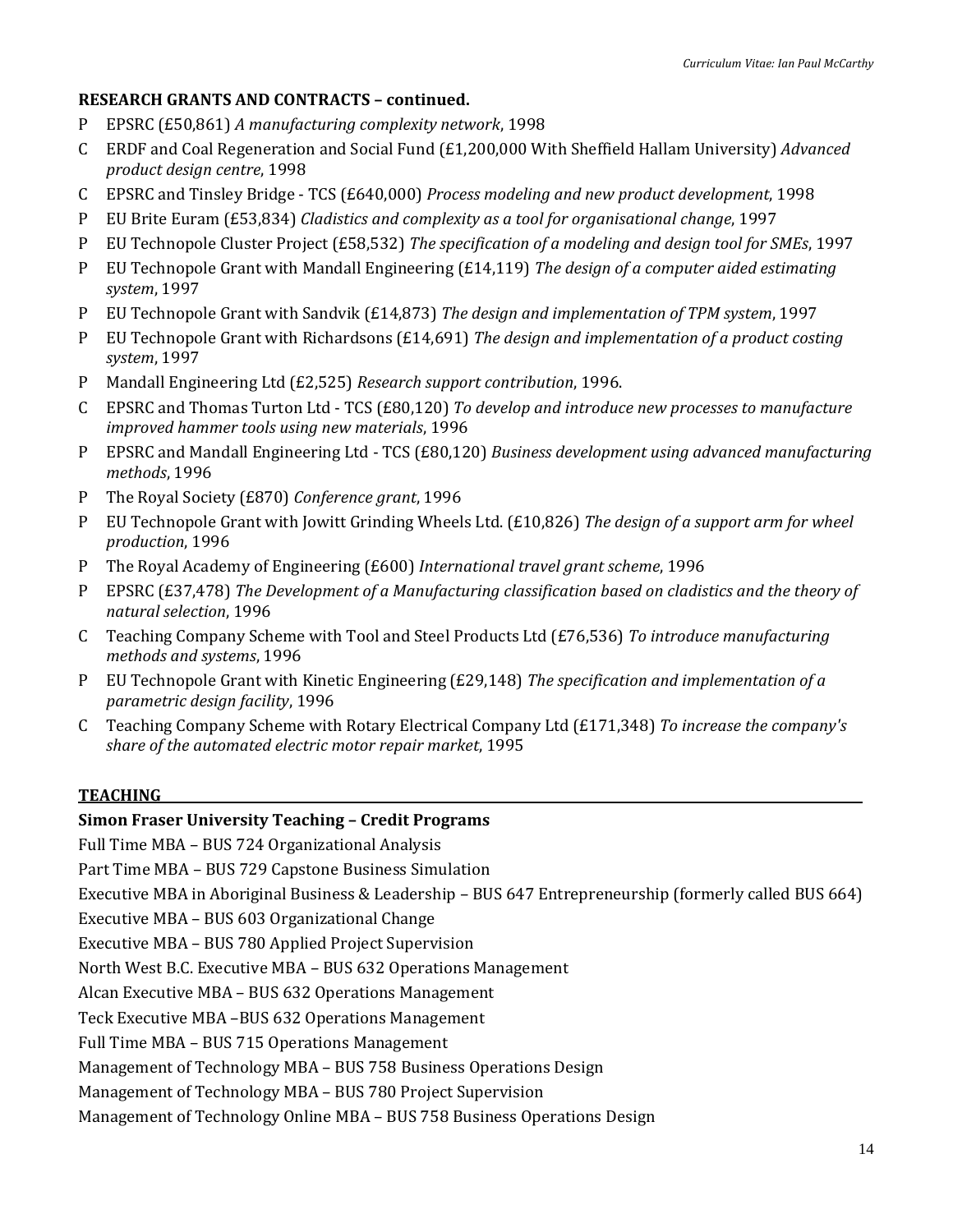### **RESEARCH GRANTS AND CONTRACTS – continued.**

- P EPSRC (£50,861) *A manufacturing complexity network*, 1998
- C ERDF and Coal Regeneration and Social Fund (£1,200,000 With Sheffield Hallam University) *Advanced product design centre*, 1998
- C EPSRC and Tinsley Bridge TCS (£640,000) *Process modeling and new product development*, 1998
- P EU Brite Euram (£53,834) *Cladistics and complexity as a tool for organisational change*, 1997
- P EU Technopole Cluster Project (£58,532) *The specification of a modeling and design tool for SMEs*, 1997
- P EU Technopole Grant with Mandall Engineering (£14,119) *The design of a computer aided estimating system*, 1997
- P EU Technopole Grant with Sandvik (£14,873) *The design and implementation of TPM system*, 1997
- P EU Technopole Grant with Richardsons (£14,691) *The design and implementation of a product costing system*, 1997
- P Mandall Engineering Ltd (£2,525) *Research support contribution*, 1996.
- C EPSRC and Thomas Turton Ltd TCS (£80,120) *To develop and introduce new processes to manufacture improved hammer tools using new materials*, 1996
- P EPSRC and Mandall Engineering Ltd TCS (£80,120) *Business development using advanced manufacturing methods*, 1996
- P The Royal Society (£870) *Conference grant*, 1996
- P EU Technopole Grant with Jowitt Grinding Wheels Ltd. (£10,826) *The design of a support arm for wheel production*, 1996
- P The Royal Academy of Engineering (£600) *International travel grant scheme*, 1996
- P EPSRC (£37,478) *The Development of a Manufacturing classification based on cladistics and the theory of natural selection*, 1996
- C Teaching Company Scheme with Tool and Steel Products Ltd (£76,536) *To introduce manufacturing methods and systems*, 1996
- P EU Technopole Grant with Kinetic Engineering (£29,148) *The specification and implementation of a parametric design facility*, 1996
- C Teaching Company Scheme with Rotary Electrical Company Ltd (£171,348) *To increase the company's share of the automated electric motor repair market*, 1995

### **TEACHING**

### **Simon Fraser University Teaching – Credit Programs**

Full Time MBA – BUS 724 Organizational Analysis

Part Time MBA – BUS 729 Capstone Business Simulation

Executive MBA in Aboriginal Business & Leadership – BUS 647 Entrepreneurship (formerly called BUS 664)

Executive MBA – BUS 603 Organizational Change

Executive MBA – BUS 780 Applied Project Supervision

North West B.C. Executive MBA – BUS 632 Operations Management

Alcan Executive MBA – BUS 632 Operations Management

Teck Executive MBA –BUS 632 Operations Management

Full Time MBA – BUS 715 Operations Management

Management of Technology MBA – BUS 758 Business Operations Design

Management of Technology MBA – BUS 780 Project Supervision

Management of Technology Online MBA – BUS 758 Business Operations Design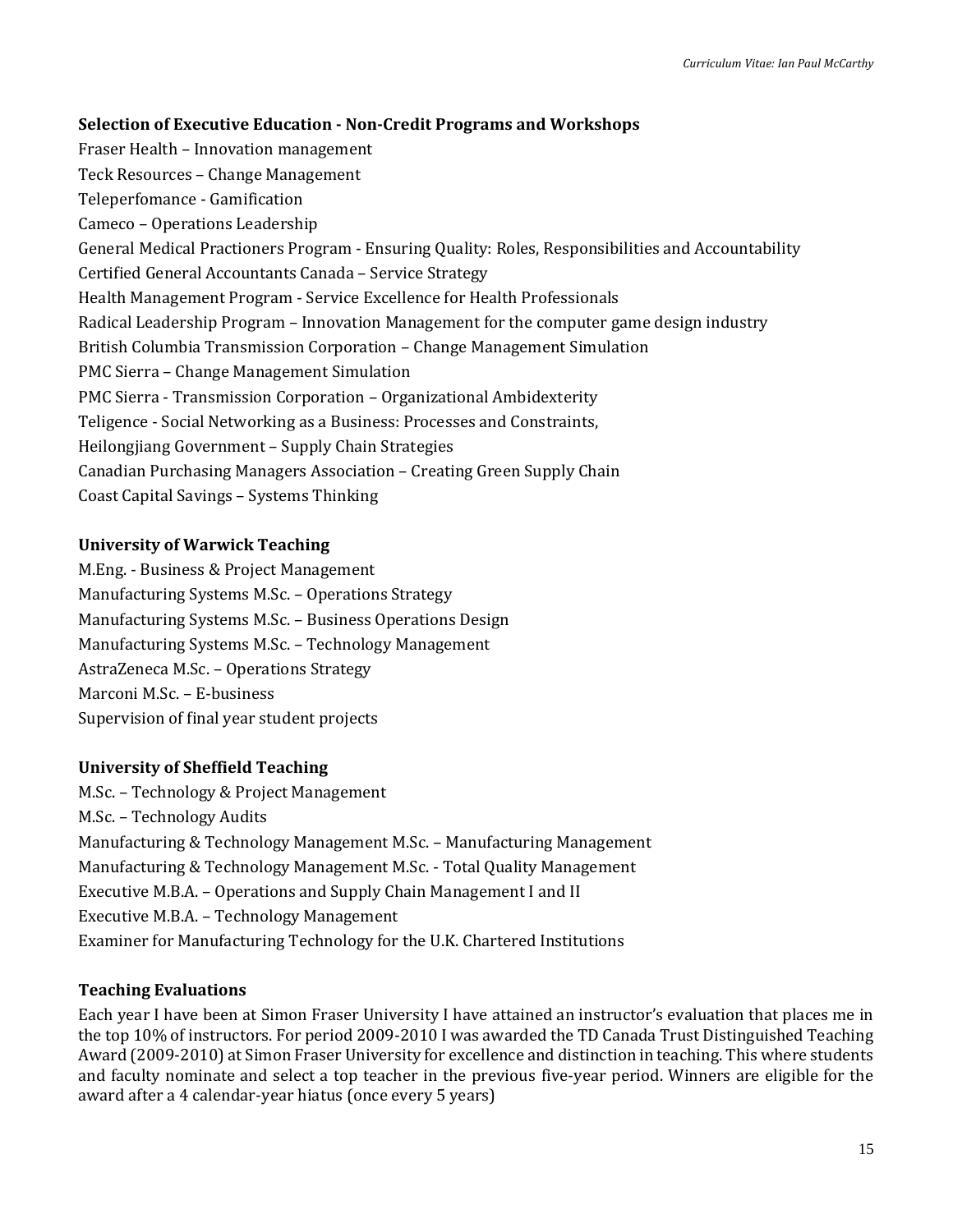### **Selection of Executive Education - Non-Credit Programs and Workshops**

Fraser Health – Innovation management Teck Resources – Change Management Teleperfomance - Gamification Cameco – Operations Leadership General Medical Practioners Program - Ensuring Quality: Roles, Responsibilities and Accountability Certified General Accountants Canada – Service Strategy Health Management Program - Service Excellence for Health Professionals Radical Leadership Program – Innovation Management for the computer game design industry British Columbia Transmission Corporation – Change Management Simulation PMC Sierra – Change Management Simulation PMC Sierra - Transmission Corporation – Organizational Ambidexterity Teligence - Social Networking as a Business: Processes and Constraints, Heilongjiang Government – Supply Chain Strategies Canadian Purchasing Managers Association – Creating Green Supply Chain Coast Capital Savings – Systems Thinking

### **University of Warwick Teaching**

M.Eng. - Business & Project Management Manufacturing Systems M.Sc. – Operations Strategy Manufacturing Systems M.Sc. – Business Operations Design Manufacturing Systems M.Sc. – Technology Management AstraZeneca M.Sc. – Operations Strategy Marconi M.Sc. – E-business Supervision of final year student projects

### **University of Sheffield Teaching**

M.Sc. – Technology & Project Management M.Sc. – Technology Audits Manufacturing & Technology Management M.Sc. – Manufacturing Management Manufacturing & Technology Management M.Sc. - Total Quality Management Executive M.B.A. – Operations and Supply Chain Management I and II Executive M.B.A. – Technology Management Examiner for Manufacturing Technology for the U.K. Chartered Institutions

### **Teaching Evaluations**

Each year I have been at Simon Fraser University I have attained an instructor's evaluation that places me in the top 10% of instructors. For period 2009-2010 I was awarded the TD Canada Trust Distinguished Teaching Award (2009-2010) at Simon Fraser University for excellence and distinction in teaching. This where students and faculty nominate and select a top teacher in the previous five-year period. Winners are eligible for the award after a 4 calendar-year hiatus (once every 5 years)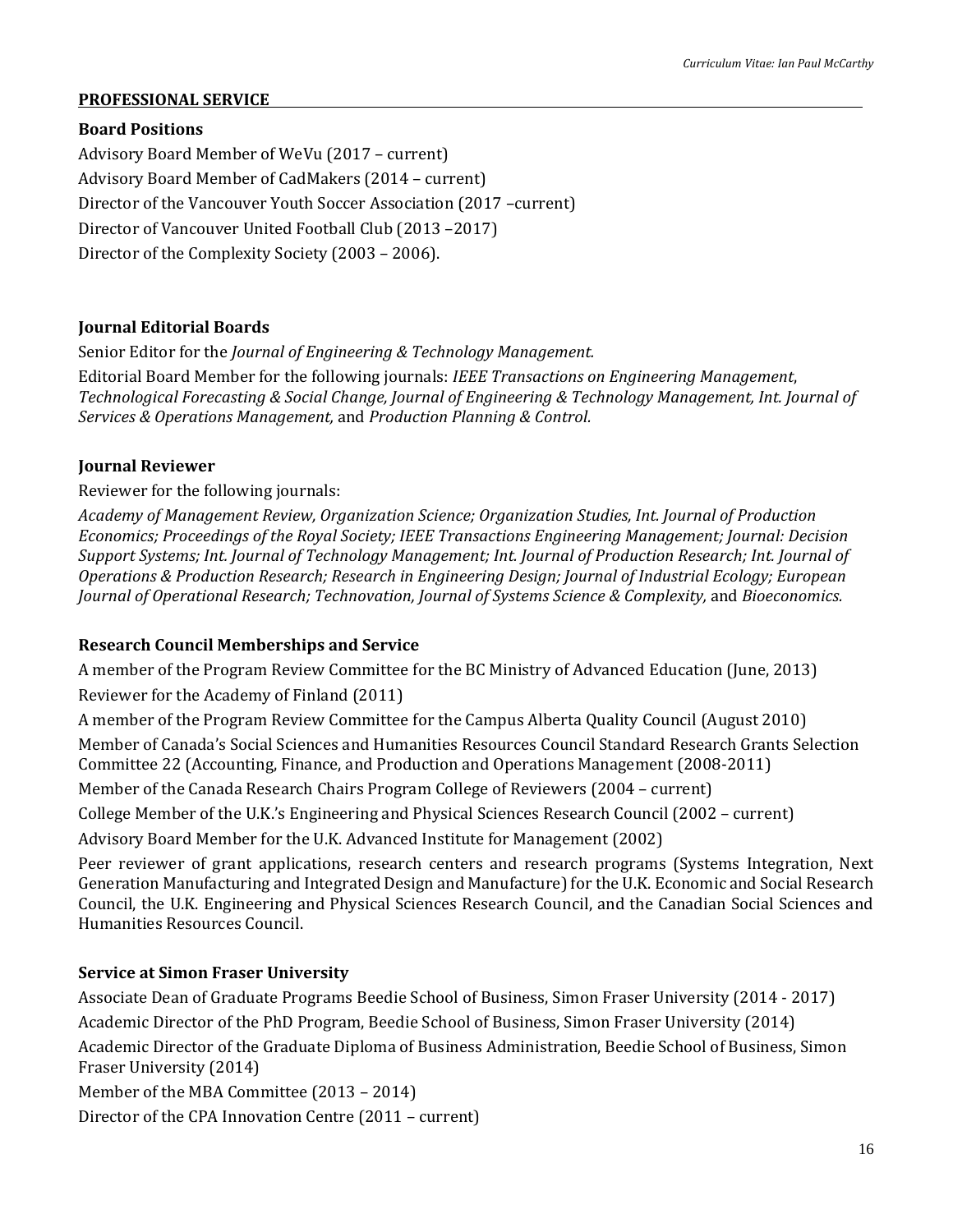### **PROFESSIONAL SERVICE**

### **Board Positions**

Advisory Board Member of WeVu (2017 – current) Advisory Board Member of CadMakers (2014 – current) Director of the Vancouver Youth Soccer Association (2017 –current) Director of Vancouver United Football Club (2013 –2017) Director of the Complexity Society (2003 – 2006).

### **Journal Editorial Boards**

Senior Editor for the *Journal of Engineering & Technology Management.*

Editorial Board Member for the following journals: *IEEE Transactions on Engineering Management*, *Technological Forecasting & Social Change, Journal of Engineering & Technology Management, Int. Journal of Services & Operations Management,* and *Production Planning & Control.*

### **Journal Reviewer**

Reviewer for the following journals:

*Academy of Management Review, Organization Science; Organization Studies, Int. Journal of Production Economics; Proceedings of the Royal Society; IEEE Transactions Engineering Management; Journal: Decision Support Systems; Int. Journal of Technology Management; Int. Journal of Production Research; Int. Journal of Operations & Production Research; Research in Engineering Design; Journal of Industrial Ecology; European Journal of Operational Research; Technovation, Journal of Systems Science & Complexity,* and *Bioeconomics.*

# **Research Council Memberships and Service**

A member of the Program Review Committee for the BC Ministry of Advanced Education (June, 2013)

Reviewer for the Academy of Finland (2011)

A member of the Program Review Committee for the Campus Alberta Quality Council (August 2010)

Member of Canada's Social Sciences and Humanities Resources Council Standard Research Grants Selection Committee 22 (Accounting, Finance, and Production and Operations Management (2008-2011)

Member of the Canada Research Chairs Program College of Reviewers (2004 – current)

College Member of the U.K.'s Engineering and Physical Sciences Research Council (2002 – current)

Advisory Board Member for the U.K. Advanced Institute for Management (2002)

Peer reviewer of grant applications, research centers and research programs (Systems Integration, Next Generation Manufacturing and Integrated Design and Manufacture) for the U.K. Economic and Social Research Council, the U.K. Engineering and Physical Sciences Research Council, and the Canadian Social Sciences and Humanities Resources Council.

# **Service at Simon Fraser University**

Associate Dean of Graduate Programs Beedie School of Business, Simon Fraser University (2014 - 2017) Academic Director of the PhD Program, Beedie School of Business, Simon Fraser University (2014) Academic Director of the Graduate Diploma of Business Administration, Beedie School of Business, Simon Fraser University (2014)

Member of the MBA Committee (2013 – 2014)

Director of the CPA Innovation Centre (2011 – current)